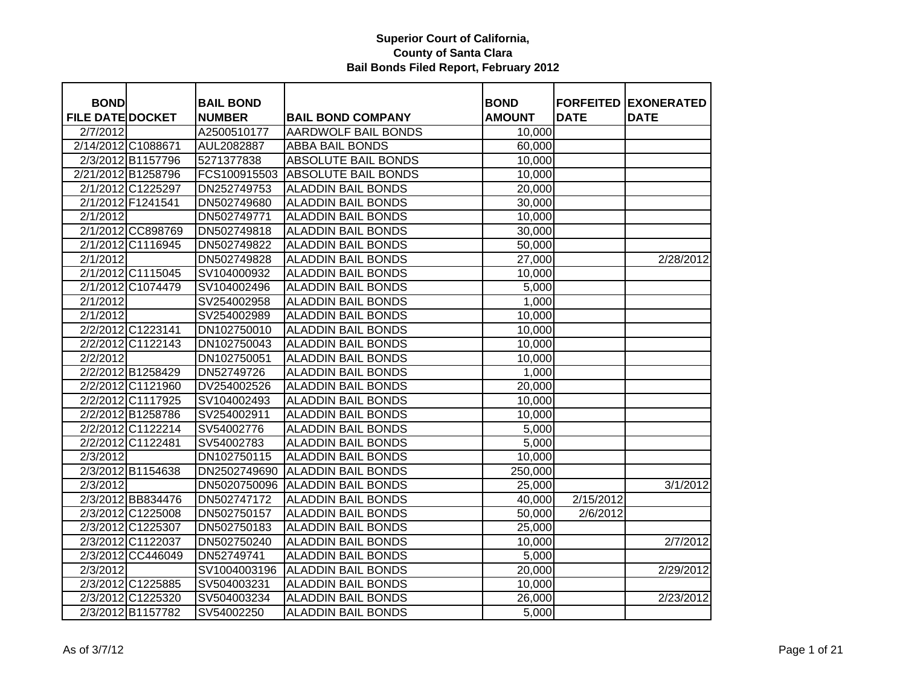| <b>BOND</b>             |                    | <b>BAIL BOND</b> |                            | <b>BOND</b>   |             | <b>FORFEITED EXONERATED</b> |
|-------------------------|--------------------|------------------|----------------------------|---------------|-------------|-----------------------------|
| <b>FILE DATE DOCKET</b> |                    | <b>NUMBER</b>    | <b>BAIL BOND COMPANY</b>   | <b>AMOUNT</b> | <b>DATE</b> | <b>DATE</b>                 |
| 2/7/2012                |                    | A2500510177      | <b>AARDWOLF BAIL BONDS</b> | 10,000        |             |                             |
|                         | 2/14/2012 C1088671 | AUL2082887       | <b>ABBA BAIL BONDS</b>     | 60,000        |             |                             |
|                         | 2/3/2012 B1157796  | 5271377838       | <b>ABSOLUTE BAIL BONDS</b> | 10,000        |             |                             |
|                         | 2/21/2012 B1258796 | FCS100915503     | <b>ABSOLUTE BAIL BONDS</b> | 10,000        |             |                             |
|                         | 2/1/2012 C1225297  | DN252749753      | <b>ALADDIN BAIL BONDS</b>  | 20,000        |             |                             |
|                         | 2/1/2012 F1241541  | DN502749680      | <b>ALADDIN BAIL BONDS</b>  | 30,000        |             |                             |
| 2/1/2012                |                    | DN502749771      | <b>ALADDIN BAIL BONDS</b>  | 10,000        |             |                             |
|                         | 2/1/2012 CC898769  | DN502749818      | <b>ALADDIN BAIL BONDS</b>  | 30,000        |             |                             |
|                         | 2/1/2012 C1116945  | DN502749822      | <b>ALADDIN BAIL BONDS</b>  | 50,000        |             |                             |
| 2/1/2012                |                    | DN502749828      | <b>ALADDIN BAIL BONDS</b>  | 27,000        |             | 2/28/2012                   |
|                         | 2/1/2012 C1115045  | SV104000932      | <b>ALADDIN BAIL BONDS</b>  | 10,000        |             |                             |
|                         | 2/1/2012 C1074479  | SV104002496      | <b>ALADDIN BAIL BONDS</b>  | 5,000         |             |                             |
| 2/1/2012                |                    | SV254002958      | <b>ALADDIN BAIL BONDS</b>  | 1,000         |             |                             |
| 2/1/2012                |                    | SV254002989      | <b>ALADDIN BAIL BONDS</b>  | 10,000        |             |                             |
|                         | 2/2/2012 C1223141  | DN102750010      | <b>ALADDIN BAIL BONDS</b>  | 10,000        |             |                             |
|                         | 2/2/2012 C1122143  | DN102750043      | <b>ALADDIN BAIL BONDS</b>  | 10,000        |             |                             |
| 2/2/2012                |                    | DN102750051      | <b>ALADDIN BAIL BONDS</b>  | 10,000        |             |                             |
|                         | 2/2/2012 B1258429  | DN52749726       | ALADDIN BAIL BONDS         | 1,000         |             |                             |
|                         | 2/2/2012 C1121960  | DV254002526      | <b>ALADDIN BAIL BONDS</b>  | 20,000        |             |                             |
|                         | 2/2/2012 C1117925  | SV104002493      | <b>ALADDIN BAIL BONDS</b>  | 10,000        |             |                             |
|                         | 2/2/2012 B1258786  | SV254002911      | <b>ALADDIN BAIL BONDS</b>  | 10,000        |             |                             |
|                         | 2/2/2012 C1122214  | SV54002776       | <b>ALADDIN BAIL BONDS</b>  | 5,000         |             |                             |
|                         | 2/2/2012 C1122481  | SV54002783       | <b>ALADDIN BAIL BONDS</b>  | 5,000         |             |                             |
| 2/3/2012                |                    | DN102750115      | <b>ALADDIN BAIL BONDS</b>  | 10,000        |             |                             |
|                         | 2/3/2012 B1154638  | DN2502749690     | <b>ALADDIN BAIL BONDS</b>  | 250,000       |             |                             |
| 2/3/2012                |                    | DN5020750096     | <b>ALADDIN BAIL BONDS</b>  | 25,000        |             | 3/1/2012                    |
|                         | 2/3/2012 BB834476  | DN502747172      | <b>ALADDIN BAIL BONDS</b>  | 40,000        | 2/15/2012   |                             |
|                         | 2/3/2012 C1225008  | DN502750157      | <b>ALADDIN BAIL BONDS</b>  | 50,000        | 2/6/2012    |                             |
|                         | 2/3/2012 C1225307  | DN502750183      | <b>ALADDIN BAIL BONDS</b>  | 25,000        |             |                             |
|                         | 2/3/2012 C1122037  | DN502750240      | <b>ALADDIN BAIL BONDS</b>  | 10,000        |             | 2/7/2012                    |
|                         | 2/3/2012 CC446049  | DN52749741       | <b>ALADDIN BAIL BONDS</b>  | 5,000         |             |                             |
| 2/3/2012                |                    | SV1004003196     | <b>ALADDIN BAIL BONDS</b>  | 20,000        |             | 2/29/2012                   |
|                         | 2/3/2012 C1225885  | SV504003231      | <b>ALADDIN BAIL BONDS</b>  | 10,000        |             |                             |
|                         | 2/3/2012 C1225320  | SV504003234      | <b>ALADDIN BAIL BONDS</b>  | 26,000        |             | 2/23/2012                   |
|                         | 2/3/2012 B1157782  | SV54002250       | <b>ALADDIN BAIL BONDS</b>  | 5,000         |             |                             |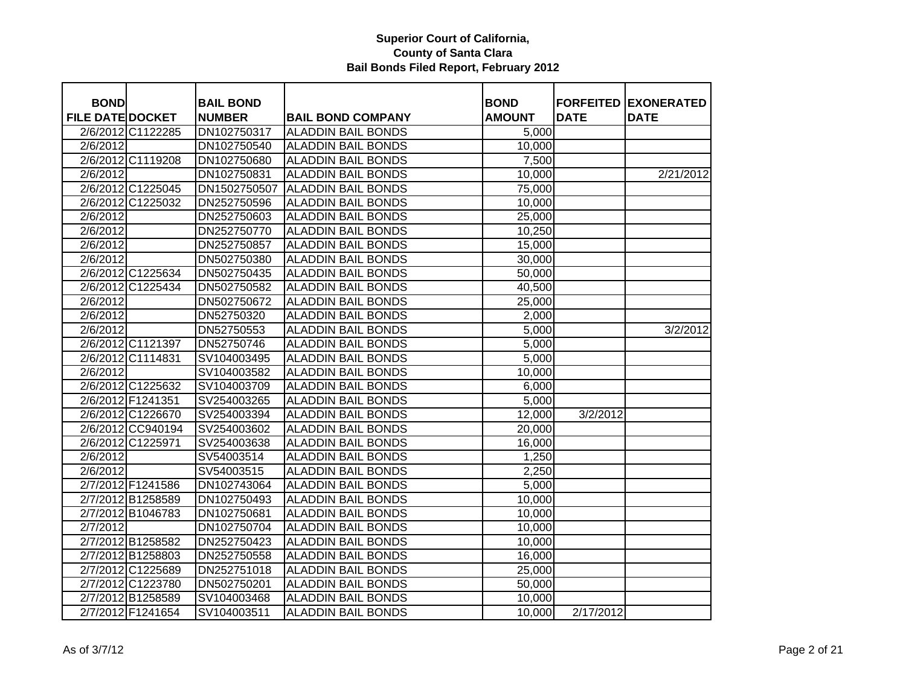| <b>BOND</b>             |                   | <b>BAIL BOND</b> |                           | <b>BOND</b>   | <b>FORFEITED</b> | <b>EXONERATED</b> |
|-------------------------|-------------------|------------------|---------------------------|---------------|------------------|-------------------|
| <b>FILE DATE DOCKET</b> |                   | <b>NUMBER</b>    | <b>BAIL BOND COMPANY</b>  | <b>AMOUNT</b> | <b>DATE</b>      | <b>DATE</b>       |
|                         | 2/6/2012 C1122285 | DN102750317      | <b>ALADDIN BAIL BONDS</b> | 5,000         |                  |                   |
| 2/6/2012                |                   | DN102750540      | <b>ALADDIN BAIL BONDS</b> | 10,000        |                  |                   |
|                         | 2/6/2012 C1119208 | DN102750680      | <b>ALADDIN BAIL BONDS</b> | 7,500         |                  |                   |
| 2/6/2012                |                   | DN102750831      | <b>ALADDIN BAIL BONDS</b> | 10,000        |                  | 2/21/2012         |
|                         | 2/6/2012 C1225045 | DN1502750507     | <b>ALADDIN BAIL BONDS</b> | 75,000        |                  |                   |
|                         | 2/6/2012 C1225032 | DN252750596      | <b>ALADDIN BAIL BONDS</b> | 10,000        |                  |                   |
| 2/6/2012                |                   | DN252750603      | <b>ALADDIN BAIL BONDS</b> | 25,000        |                  |                   |
| 2/6/2012                |                   | DN252750770      | <b>ALADDIN BAIL BONDS</b> | 10,250        |                  |                   |
| 2/6/2012                |                   | DN252750857      | <b>ALADDIN BAIL BONDS</b> | 15,000        |                  |                   |
| 2/6/2012                |                   | DN502750380      | <b>ALADDIN BAIL BONDS</b> | 30,000        |                  |                   |
|                         | 2/6/2012 C1225634 | DN502750435      | <b>ALADDIN BAIL BONDS</b> | 50,000        |                  |                   |
|                         | 2/6/2012 C1225434 | DN502750582      | <b>ALADDIN BAIL BONDS</b> | 40,500        |                  |                   |
| 2/6/2012                |                   | DN502750672      | <b>ALADDIN BAIL BONDS</b> | 25,000        |                  |                   |
| 2/6/2012                |                   | DN52750320       | <b>ALADDIN BAIL BONDS</b> | 2,000         |                  |                   |
| 2/6/2012                |                   | DN52750553       | <b>ALADDIN BAIL BONDS</b> | 5,000         |                  | 3/2/2012          |
|                         | 2/6/2012 C1121397 | DN52750746       | <b>ALADDIN BAIL BONDS</b> | 5,000         |                  |                   |
|                         | 2/6/2012 C1114831 | SV104003495      | <b>ALADDIN BAIL BONDS</b> | 5,000         |                  |                   |
| 2/6/2012                |                   | SV104003582      | <b>ALADDIN BAIL BONDS</b> | 10,000        |                  |                   |
|                         | 2/6/2012 C1225632 | SV104003709      | <b>ALADDIN BAIL BONDS</b> | 6,000         |                  |                   |
|                         | 2/6/2012 F1241351 | SV254003265      | <b>ALADDIN BAIL BONDS</b> | 5,000         |                  |                   |
|                         | 2/6/2012 C1226670 | SV254003394      | <b>ALADDIN BAIL BONDS</b> | 12,000        | 3/2/2012         |                   |
|                         | 2/6/2012 CC940194 | SV254003602      | <b>ALADDIN BAIL BONDS</b> | 20,000        |                  |                   |
|                         | 2/6/2012 C1225971 | SV254003638      | <b>ALADDIN BAIL BONDS</b> | 16,000        |                  |                   |
| 2/6/2012                |                   | SV54003514       | <b>ALADDIN BAIL BONDS</b> | 1,250         |                  |                   |
| 2/6/2012                |                   | SV54003515       | <b>ALADDIN BAIL BONDS</b> | 2,250         |                  |                   |
|                         | 2/7/2012 F1241586 | DN102743064      | <b>ALADDIN BAIL BONDS</b> | 5,000         |                  |                   |
|                         | 2/7/2012 B1258589 | DN102750493      | <b>ALADDIN BAIL BONDS</b> | 10,000        |                  |                   |
|                         | 2/7/2012 B1046783 | DN102750681      | <b>ALADDIN BAIL BONDS</b> | 10,000        |                  |                   |
| 2/7/2012                |                   | DN102750704      | <b>ALADDIN BAIL BONDS</b> | 10,000        |                  |                   |
|                         | 2/7/2012 B1258582 | DN252750423      | <b>ALADDIN BAIL BONDS</b> | 10,000        |                  |                   |
|                         | 2/7/2012 B1258803 | DN252750558      | <b>ALADDIN BAIL BONDS</b> | 16,000        |                  |                   |
|                         | 2/7/2012 C1225689 | DN252751018      | <b>ALADDIN BAIL BONDS</b> | 25,000        |                  |                   |
|                         | 2/7/2012 C1223780 | DN502750201      | <b>ALADDIN BAIL BONDS</b> | 50,000        |                  |                   |
|                         | 2/7/2012 B1258589 | SV104003468      | <b>ALADDIN BAIL BONDS</b> | 10,000        |                  |                   |
|                         | 2/7/2012 F1241654 | SV104003511      | <b>ALADDIN BAIL BONDS</b> | 10,000        | 2/17/2012        |                   |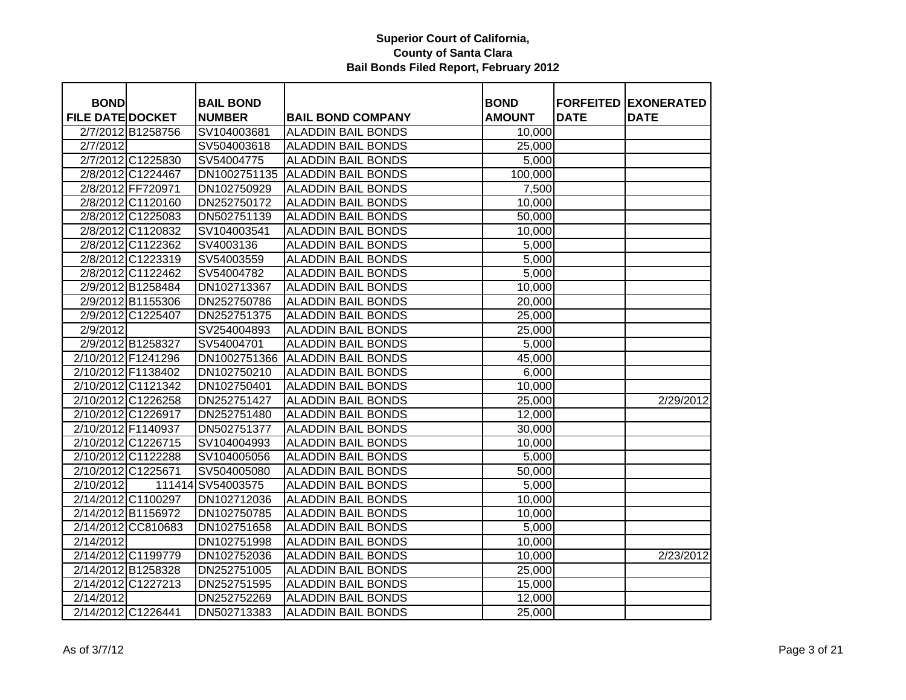| <b>BOND</b>             |                    | <b>BAIL BOND</b>  |                           | <b>BOND</b>         |             | <b>FORFEITED EXONERATED</b> |
|-------------------------|--------------------|-------------------|---------------------------|---------------------|-------------|-----------------------------|
| <b>FILE DATE DOCKET</b> |                    | <b>NUMBER</b>     | <b>BAIL BOND COMPANY</b>  | <b>AMOUNT</b>       | <b>DATE</b> | <b>DATE</b>                 |
|                         | 2/7/2012 B1258756  | SV104003681       | <b>ALADDIN BAIL BONDS</b> | 10,000              |             |                             |
| 2/7/2012                |                    | SV504003618       | <b>ALADDIN BAIL BONDS</b> | $\overline{2}5,000$ |             |                             |
|                         | 2/7/2012 C1225830  | SV54004775        | <b>ALADDIN BAIL BONDS</b> | 5,000               |             |                             |
|                         | 2/8/2012 C1224467  | DN1002751135      | <b>ALADDIN BAIL BONDS</b> | 100,000             |             |                             |
|                         | 2/8/2012 FF720971  | DN102750929       | <b>ALADDIN BAIL BONDS</b> | 7,500               |             |                             |
|                         | 2/8/2012 C1120160  | DN252750172       | <b>ALADDIN BAIL BONDS</b> | 10,000              |             |                             |
|                         | 2/8/2012 C1225083  | DN502751139       | <b>ALADDIN BAIL BONDS</b> | 50,000              |             |                             |
|                         | 2/8/2012 C1120832  | SV104003541       | <b>ALADDIN BAIL BONDS</b> | 10,000              |             |                             |
|                         | 2/8/2012 C1122362  | SV4003136         | <b>ALADDIN BAIL BONDS</b> | 5,000               |             |                             |
|                         | 2/8/2012 C1223319  | SV54003559        | <b>ALADDIN BAIL BONDS</b> | 5,000               |             |                             |
|                         | 2/8/2012 C1122462  | SV54004782        | <b>ALADDIN BAIL BONDS</b> | 5,000               |             |                             |
|                         | 2/9/2012 B1258484  | DN102713367       | <b>ALADDIN BAIL BONDS</b> | 10,000              |             |                             |
|                         | 2/9/2012 B1155306  | DN252750786       | <b>ALADDIN BAIL BONDS</b> | 20,000              |             |                             |
|                         | 2/9/2012 C1225407  | DN252751375       | <b>ALADDIN BAIL BONDS</b> | 25,000              |             |                             |
| 2/9/2012                |                    | SV254004893       | <b>ALADDIN BAIL BONDS</b> | 25,000              |             |                             |
|                         | 2/9/2012 B1258327  | SV54004701        | <b>ALADDIN BAIL BONDS</b> | 5,000               |             |                             |
| 2/10/2012 F1241296      |                    | DN1002751366      | <b>ALADDIN BAIL BONDS</b> | 45,000              |             |                             |
| 2/10/2012 F1138402      |                    | DN102750210       | <b>ALADDIN BAIL BONDS</b> | 6,000               |             |                             |
| 2/10/2012 C1121342      |                    | DN102750401       | <b>ALADDIN BAIL BONDS</b> | 10,000              |             |                             |
| 2/10/2012 C1226258      |                    | DN252751427       | <b>ALADDIN BAIL BONDS</b> | 25,000              |             | 2/29/2012                   |
| 2/10/2012 C1226917      |                    | DN252751480       | <b>ALADDIN BAIL BONDS</b> | 12,000              |             |                             |
| 2/10/2012 F1140937      |                    | DN502751377       | <b>ALADDIN BAIL BONDS</b> | 30,000              |             |                             |
| 2/10/2012 C1226715      |                    | SV104004993       | <b>ALADDIN BAIL BONDS</b> | 10,000              |             |                             |
| 2/10/2012 C1122288      |                    | SV104005056       | <b>ALADDIN BAIL BONDS</b> | 5,000               |             |                             |
| 2/10/2012 C1225671      |                    | SV504005080       | <b>ALADDIN BAIL BONDS</b> | 50,000              |             |                             |
| 2/10/2012               |                    | 111414 SV54003575 | <b>ALADDIN BAIL BONDS</b> | 5,000               |             |                             |
| 2/14/2012 C1100297      |                    | DN102712036       | <b>ALADDIN BAIL BONDS</b> | 10,000              |             |                             |
| 2/14/2012 B1156972      |                    | DN102750785       | <b>ALADDIN BAIL BONDS</b> | 10,000              |             |                             |
|                         | 2/14/2012 CC810683 | DN102751658       | <b>ALADDIN BAIL BONDS</b> | 5,000               |             |                             |
| 2/14/2012               |                    | DN102751998       | <b>ALADDIN BAIL BONDS</b> | 10,000              |             |                             |
| 2/14/2012 C1199779      |                    | DN102752036       | <b>ALADDIN BAIL BONDS</b> | 10,000              |             | 2/23/2012                   |
| 2/14/2012 B1258328      |                    | DN252751005       | <b>ALADDIN BAIL BONDS</b> | 25,000              |             |                             |
| 2/14/2012 C1227213      |                    | DN252751595       | <b>ALADDIN BAIL BONDS</b> | 15,000              |             |                             |
| 2/14/2012               |                    | DN252752269       | <b>ALADDIN BAIL BONDS</b> | 12,000              |             |                             |
| 2/14/2012 C1226441      |                    | DN502713383       | <b>ALADDIN BAIL BONDS</b> | 25,000              |             |                             |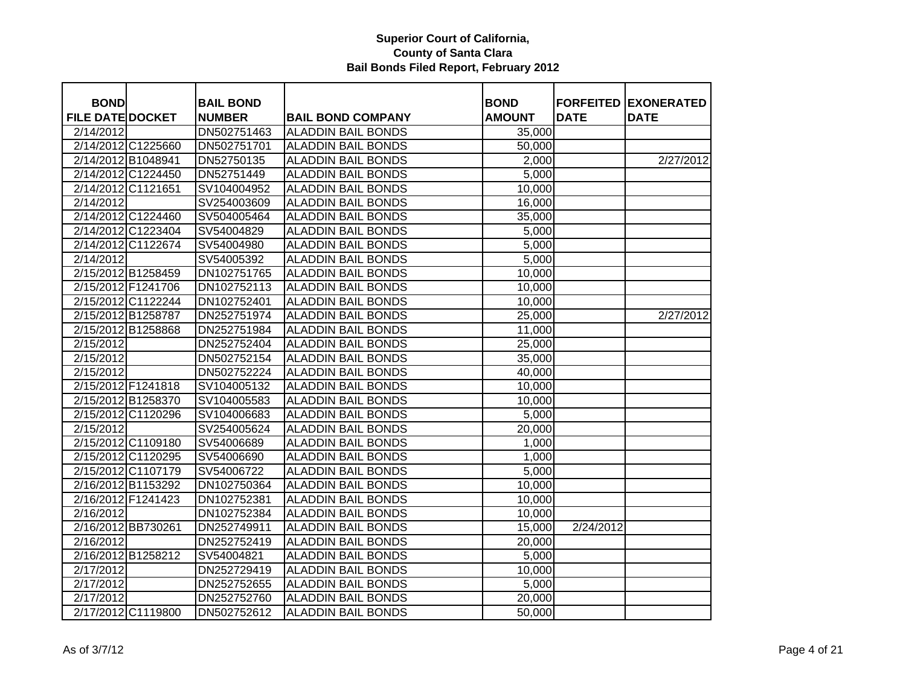| <b>BOND</b>             | <b>BAIL BOND</b> |                                                       | <b>BOND</b>   |             | <b>FORFEITED EXONERATED</b> |
|-------------------------|------------------|-------------------------------------------------------|---------------|-------------|-----------------------------|
| <b>FILE DATE DOCKET</b> | <b>NUMBER</b>    |                                                       | <b>AMOUNT</b> | <b>DATE</b> | <b>DATE</b>                 |
| 2/14/2012               | DN502751463      | <b>BAIL BOND COMPANY</b><br><b>ALADDIN BAIL BONDS</b> | 35,000        |             |                             |
| 2/14/2012 C1225660      | DN502751701      | <b>ALADDIN BAIL BONDS</b>                             |               |             |                             |
| 2/14/2012 B1048941      | DN52750135       | <b>ALADDIN BAIL BONDS</b>                             | 50,000        |             | 2/27/2012                   |
|                         |                  |                                                       | 2,000         |             |                             |
| 2/14/2012 C1224450      | DN52751449       | <b>ALADDIN BAIL BONDS</b>                             | 5,000         |             |                             |
| 2/14/2012 C1121651      | SV104004952      | <b>ALADDIN BAIL BONDS</b>                             | 10,000        |             |                             |
| 2/14/2012               | SV254003609      | <b>ALADDIN BAIL BONDS</b>                             | 16,000        |             |                             |
| 2/14/2012 C1224460      | SV504005464      | <b>ALADDIN BAIL BONDS</b>                             | 35,000        |             |                             |
| 2/14/2012 C1223404      | SV54004829       | <b>ALADDIN BAIL BONDS</b>                             | 5,000         |             |                             |
| 2/14/2012 C1122674      | SV54004980       | <b>ALADDIN BAIL BONDS</b>                             | 5,000         |             |                             |
| 2/14/2012               | SV54005392       | <b>ALADDIN BAIL BONDS</b>                             | 5,000         |             |                             |
| 2/15/2012 B1258459      | DN102751765      | <b>ALADDIN BAIL BONDS</b>                             | 10,000        |             |                             |
| 2/15/2012 F1241706      | DN102752113      | <b>ALADDIN BAIL BONDS</b>                             | 10,000        |             |                             |
| 2/15/2012 C1122244      | DN102752401      | <b>ALADDIN BAIL BONDS</b>                             | 10,000        |             |                             |
| 2/15/2012 B1258787      | DN252751974      | <b>ALADDIN BAIL BONDS</b>                             | 25,000        |             | 2/27/2012                   |
| 2/15/2012 B1258868      | DN252751984      | <b>ALADDIN BAIL BONDS</b>                             | 11,000        |             |                             |
| 2/15/2012               | DN252752404      | <b>ALADDIN BAIL BONDS</b>                             | 25,000        |             |                             |
| 2/15/2012               | DN502752154      | <b>ALADDIN BAIL BONDS</b>                             | 35,000        |             |                             |
| 2/15/2012               | DN502752224      | <b>ALADDIN BAIL BONDS</b>                             | 40,000        |             |                             |
| 2/15/2012 F1241818      | SV104005132      | <b>ALADDIN BAIL BONDS</b>                             | 10,000        |             |                             |
| 2/15/2012 B1258370      | SV104005583      | <b>ALADDIN BAIL BONDS</b>                             | 10,000        |             |                             |
| 2/15/2012 C1120296      | SV104006683      | <b>ALADDIN BAIL BONDS</b>                             | 5,000         |             |                             |
| 2/15/2012               | SV254005624      | <b>ALADDIN BAIL BONDS</b>                             | 20,000        |             |                             |
| 2/15/2012 C1109180      | SV54006689       | <b>ALADDIN BAIL BONDS</b>                             | 1,000         |             |                             |
| 2/15/2012 C1120295      | SV54006690       | <b>ALADDIN BAIL BONDS</b>                             | 1,000         |             |                             |
| 2/15/2012 C1107179      | SV54006722       | <b>ALADDIN BAIL BONDS</b>                             | 5,000         |             |                             |
| 2/16/2012 B1153292      | DN102750364      | <b>ALADDIN BAIL BONDS</b>                             | 10,000        |             |                             |
| 2/16/2012 F1241423      | DN102752381      | <b>ALADDIN BAIL BONDS</b>                             | 10,000        |             |                             |
| 2/16/2012               | DN102752384      | <b>ALADDIN BAIL BONDS</b>                             | 10,000        |             |                             |
| 2/16/2012 BB730261      | DN252749911      | <b>ALADDIN BAIL BONDS</b>                             | 15,000        | 2/24/2012   |                             |
| 2/16/2012               | DN252752419      | <b>ALADDIN BAIL BONDS</b>                             | 20,000        |             |                             |
| 2/16/2012 B1258212      | SV54004821       | <b>ALADDIN BAIL BONDS</b>                             | 5,000         |             |                             |
| 2/17/2012               | DN252729419      | <b>ALADDIN BAIL BONDS</b>                             | 10,000        |             |                             |
| 2/17/2012               | DN252752655      | <b>ALADDIN BAIL BONDS</b>                             | 5,000         |             |                             |
| 2/17/2012               | DN252752760      | <b>ALADDIN BAIL BONDS</b>                             | 20,000        |             |                             |
| 2/17/2012 C1119800      | DN502752612      | <b>ALADDIN BAIL BONDS</b>                             | 50,000        |             |                             |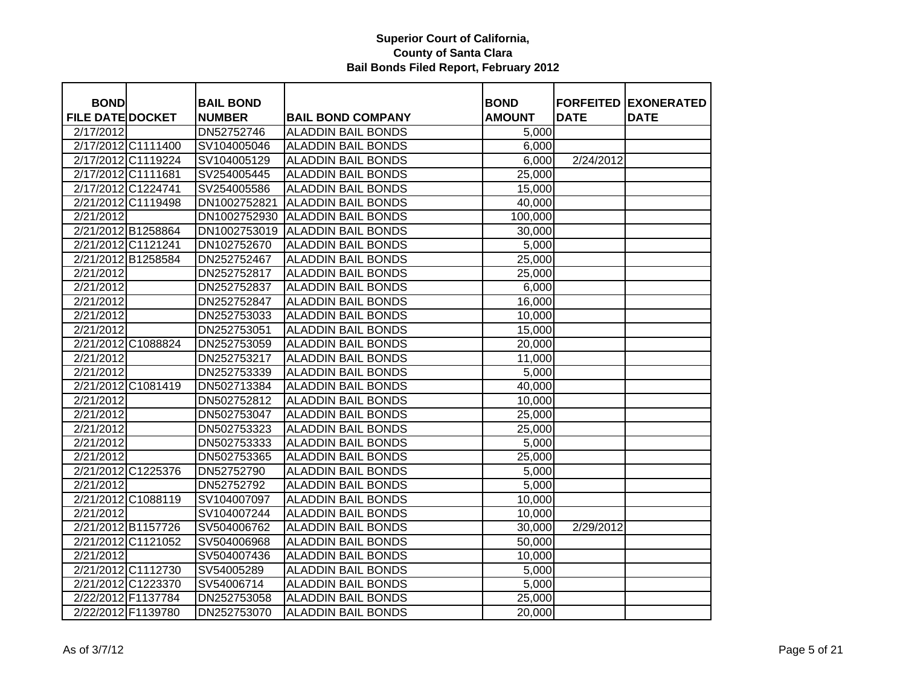| <b>BOND</b>             |                    | <b>BAIL BOND</b> |                                 | <b>BOND</b>   |             | <b>FORFEITED EXONERATED</b> |
|-------------------------|--------------------|------------------|---------------------------------|---------------|-------------|-----------------------------|
| <b>FILE DATE DOCKET</b> |                    | <b>NUMBER</b>    | <b>BAIL BOND COMPANY</b>        | <b>AMOUNT</b> | <b>DATE</b> | <b>DATE</b>                 |
| 2/17/2012               |                    | DN52752746       | <b>ALADDIN BAIL BONDS</b>       | 5,000         |             |                             |
| 2/17/2012 C1111400      |                    | SV104005046      | <b>ALADDIN BAIL BONDS</b>       | 6,000         |             |                             |
|                         | 2/17/2012 C1119224 | SV104005129      | <b>ALADDIN BAIL BONDS</b>       | 6,000         | 2/24/2012   |                             |
| 2/17/2012 C1111681      |                    | SV254005445      | <b>ALADDIN BAIL BONDS</b>       | 25,000        |             |                             |
| 2/17/2012 C1224741      |                    | SV254005586      | <b>ALADDIN BAIL BONDS</b>       | 15,000        |             |                             |
| 2/21/2012 C1119498      |                    | DN1002752821     | <b>ALADDIN BAIL BONDS</b>       | 40,000        |             |                             |
| 2/21/2012               |                    | DN1002752930     | <b>ALADDIN BAIL BONDS</b>       | 100,000       |             |                             |
| 2/21/2012 B1258864      |                    |                  | DN1002753019 ALADDIN BAIL BONDS | 30,000        |             |                             |
| 2/21/2012 C1121241      |                    | DN102752670      | <b>ALADDIN BAIL BONDS</b>       | 5,000         |             |                             |
| 2/21/2012 B1258584      |                    | DN252752467      | <b>ALADDIN BAIL BONDS</b>       | 25,000        |             |                             |
| 2/21/2012               |                    | DN252752817      | <b>ALADDIN BAIL BONDS</b>       | 25,000        |             |                             |
| $\overline{2}/21/2012$  |                    | DN252752837      | <b>ALADDIN BAIL BONDS</b>       | 6,000         |             |                             |
| 2/21/2012               |                    | DN252752847      | <b>ALADDIN BAIL BONDS</b>       | 16,000        |             |                             |
| 2/21/2012               |                    | DN252753033      | <b>ALADDIN BAIL BONDS</b>       | 10,000        |             |                             |
| 2/21/2012               |                    | DN252753051      | <b>ALADDIN BAIL BONDS</b>       | 15,000        |             |                             |
| 2/21/2012 C1088824      |                    | DN252753059      | <b>ALADDIN BAIL BONDS</b>       | 20,000        |             |                             |
| 2/21/2012               |                    | DN252753217      | <b>ALADDIN BAIL BONDS</b>       | 11,000        |             |                             |
| 2/21/2012               |                    | DN252753339      | <b>ALADDIN BAIL BONDS</b>       | 5,000         |             |                             |
| 2/21/2012 C1081419      |                    | DN502713384      | <b>ALADDIN BAIL BONDS</b>       | 40,000        |             |                             |
| 2/21/2012               |                    | DN502752812      | <b>ALADDIN BAIL BONDS</b>       | 10,000        |             |                             |
| 2/21/2012               |                    | DN502753047      | <b>ALADDIN BAIL BONDS</b>       | 25,000        |             |                             |
| 2/21/2012               |                    | DN502753323      | <b>ALADDIN BAIL BONDS</b>       | 25,000        |             |                             |
| 2/21/2012               |                    | DN502753333      | <b>ALADDIN BAIL BONDS</b>       | 5,000         |             |                             |
| 2/21/2012               |                    | DN502753365      | <b>ALADDIN BAIL BONDS</b>       | 25,000        |             |                             |
| 2/21/2012 C1225376      |                    | DN52752790       | <b>ALADDIN BAIL BONDS</b>       | 5,000         |             |                             |
| 2/21/2012               |                    | DN52752792       | <b>ALADDIN BAIL BONDS</b>       | 5,000         |             |                             |
| 2/21/2012 C1088119      |                    | SV104007097      | <b>ALADDIN BAIL BONDS</b>       | 10,000        |             |                             |
| 2/21/2012               |                    | SV104007244      | <b>ALADDIN BAIL BONDS</b>       | 10,000        |             |                             |
| 2/21/2012 B1157726      |                    | SV504006762      | <b>ALADDIN BAIL BONDS</b>       | 30,000        | 2/29/2012   |                             |
| 2/21/2012 C1121052      |                    | SV504006968      | <b>ALADDIN BAIL BONDS</b>       | 50,000        |             |                             |
| 2/21/2012               |                    | SV504007436      | <b>ALADDIN BAIL BONDS</b>       | 10,000        |             |                             |
| 2/21/2012 C1112730      |                    | SV54005289       | <b>ALADDIN BAIL BONDS</b>       | 5,000         |             |                             |
| 2/21/2012 C1223370      |                    | SV54006714       | <b>ALADDIN BAIL BONDS</b>       | 5,000         |             |                             |
| 2/22/2012 F1137784      |                    | DN252753058      | <b>ALADDIN BAIL BONDS</b>       | 25,000        |             |                             |
| 2/22/2012 F1139780      |                    | DN252753070      | <b>ALADDIN BAIL BONDS</b>       | 20,000        |             |                             |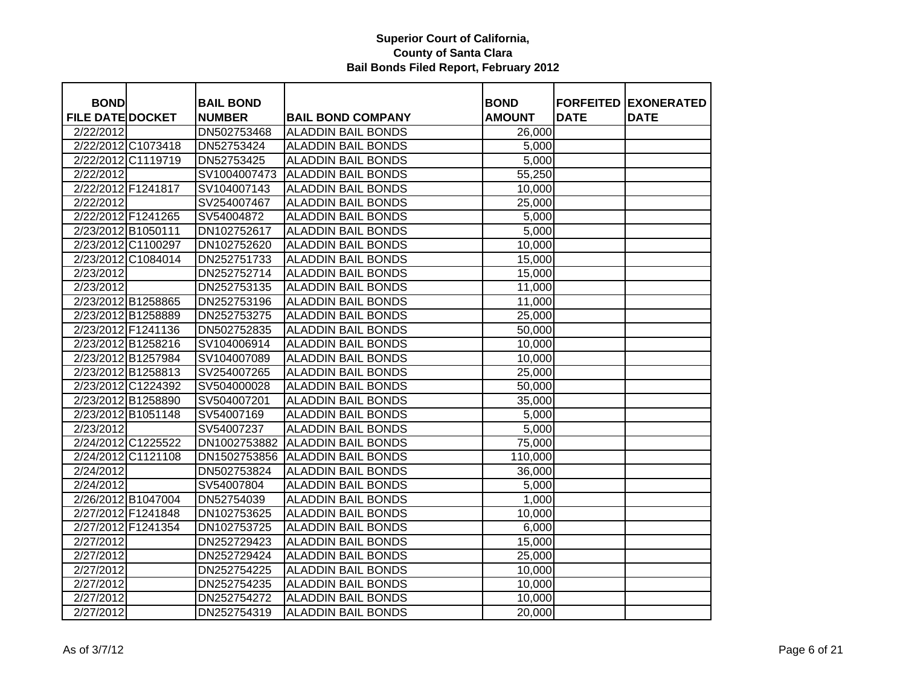| <b>BOND</b>             |                    | <b>BAIL BOND</b> |                           | <b>BOND</b>   |             | <b>FORFEITED EXONERATED</b> |
|-------------------------|--------------------|------------------|---------------------------|---------------|-------------|-----------------------------|
| <b>FILE DATE DOCKET</b> |                    | <b>NUMBER</b>    | <b>BAIL BOND COMPANY</b>  | <b>AMOUNT</b> | <b>DATE</b> | <b>DATE</b>                 |
| 2/22/2012               |                    | DN502753468      | <b>ALADDIN BAIL BONDS</b> | 26,000        |             |                             |
|                         | 2/22/2012 C1073418 | DN52753424       | <b>ALADDIN BAIL BONDS</b> | 5,000         |             |                             |
|                         | 2/22/2012 C1119719 | DN52753425       | <b>ALADDIN BAIL BONDS</b> | 5,000         |             |                             |
| 2/22/2012               |                    | SV1004007473     | <b>ALADDIN BAIL BONDS</b> | 55,250        |             |                             |
| 2/22/2012 F1241817      |                    | SV104007143      | <b>ALADDIN BAIL BONDS</b> | 10,000        |             |                             |
| 2/22/2012               |                    | SV254007467      | <b>ALADDIN BAIL BONDS</b> | 25,000        |             |                             |
|                         | 2/22/2012 F1241265 | SV54004872       | <b>ALADDIN BAIL BONDS</b> | 5,000         |             |                             |
|                         | 2/23/2012 B1050111 | DN102752617      | <b>ALADDIN BAIL BONDS</b> | 5,000         |             |                             |
|                         | 2/23/2012 C1100297 | DN102752620      | <b>ALADDIN BAIL BONDS</b> | 10,000        |             |                             |
|                         | 2/23/2012 C1084014 | DN252751733      | <b>ALADDIN BAIL BONDS</b> | 15,000        |             |                             |
| 2/23/2012               |                    | DN252752714      | <b>ALADDIN BAIL BONDS</b> | 15,000        |             |                             |
| 2/23/2012               |                    | DN252753135      | <b>ALADDIN BAIL BONDS</b> | 11,000        |             |                             |
|                         | 2/23/2012 B1258865 | DN252753196      | <b>ALADDIN BAIL BONDS</b> | 11,000        |             |                             |
|                         | 2/23/2012 B1258889 | DN252753275      | <b>ALADDIN BAIL BONDS</b> | 25,000        |             |                             |
|                         | 2/23/2012 F1241136 | DN502752835      | <b>ALADDIN BAIL BONDS</b> | 50,000        |             |                             |
|                         | 2/23/2012 B1258216 | SV104006914      | <b>ALADDIN BAIL BONDS</b> | 10,000        |             |                             |
|                         | 2/23/2012 B1257984 | SV104007089      | <b>ALADDIN BAIL BONDS</b> | 10,000        |             |                             |
|                         | 2/23/2012 B1258813 | SV254007265      | <b>ALADDIN BAIL BONDS</b> | 25,000        |             |                             |
|                         | 2/23/2012 C1224392 | SV504000028      | <b>ALADDIN BAIL BONDS</b> | 50,000        |             |                             |
|                         | 2/23/2012 B1258890 | SV504007201      | <b>ALADDIN BAIL BONDS</b> | 35,000        |             |                             |
|                         | 2/23/2012 B1051148 | SV54007169       | <b>ALADDIN BAIL BONDS</b> | 5,000         |             |                             |
| $\overline{2}/23/2012$  |                    | SV54007237       | <b>ALADDIN BAIL BONDS</b> | 5,000         |             |                             |
|                         | 2/24/2012 C1225522 | DN1002753882     | <b>ALADDIN BAIL BONDS</b> | 75,000        |             |                             |
|                         | 2/24/2012 C1121108 | DN1502753856     | <b>ALADDIN BAIL BONDS</b> | 110,000       |             |                             |
| 2/24/2012               |                    | DN502753824      | <b>ALADDIN BAIL BONDS</b> | 36,000        |             |                             |
| 2/24/2012               |                    | SV54007804       | <b>ALADDIN BAIL BONDS</b> | 5,000         |             |                             |
|                         | 2/26/2012 B1047004 | DN52754039       | <b>ALADDIN BAIL BONDS</b> | 1,000         |             |                             |
|                         | 2/27/2012 F1241848 | DN102753625      | <b>ALADDIN BAIL BONDS</b> | 10,000        |             |                             |
|                         | 2/27/2012 F1241354 | DN102753725      | <b>ALADDIN BAIL BONDS</b> | 6,000         |             |                             |
| 2/27/2012               |                    | DN252729423      | <b>ALADDIN BAIL BONDS</b> | 15,000        |             |                             |
| 2/27/2012               |                    | DN252729424      | <b>ALADDIN BAIL BONDS</b> | 25,000        |             |                             |
| 2/27/2012               |                    | DN252754225      | <b>ALADDIN BAIL BONDS</b> | 10,000        |             |                             |
| 2/27/2012               |                    | DN252754235      | <b>ALADDIN BAIL BONDS</b> | 10,000        |             |                             |
| 2/27/2012               |                    | DN252754272      | <b>ALADDIN BAIL BONDS</b> | 10,000        |             |                             |
| 2/27/2012               |                    | DN252754319      | <b>ALADDIN BAIL BONDS</b> | 20,000        |             |                             |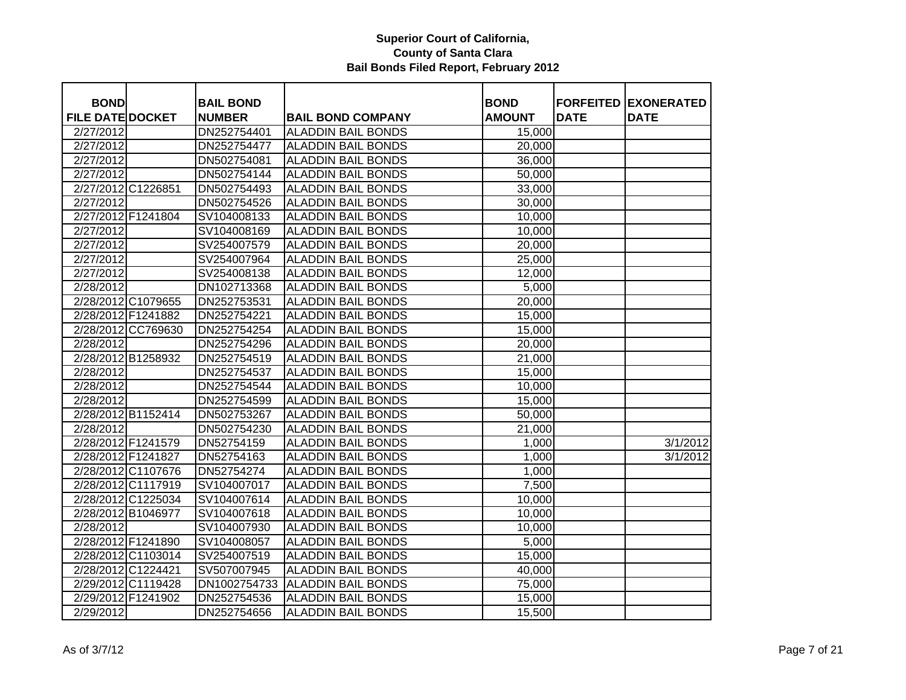| <b>BOND</b>             |                    | <b>BAIL BOND</b> |                           | <b>BOND</b>   | <b>FORFEITED</b> | <b>EXONERATED</b> |
|-------------------------|--------------------|------------------|---------------------------|---------------|------------------|-------------------|
| <b>FILE DATE DOCKET</b> |                    | <b>NUMBER</b>    | <b>BAIL BOND COMPANY</b>  | <b>AMOUNT</b> | <b>DATE</b>      | <b>DATE</b>       |
| 2/27/2012               |                    | DN252754401      | <b>ALADDIN BAIL BONDS</b> | 15,000        |                  |                   |
| 2/27/2012               |                    | DN252754477      | <b>ALADDIN BAIL BONDS</b> | 20,000        |                  |                   |
| 2/27/2012               |                    | DN502754081      | <b>ALADDIN BAIL BONDS</b> | 36,000        |                  |                   |
| 2/27/2012               |                    | DN502754144      | <b>ALADDIN BAIL BONDS</b> | 50,000        |                  |                   |
| 2/27/2012 C1226851      |                    | DN502754493      | <b>ALADDIN BAIL BONDS</b> | 33,000        |                  |                   |
| 2/27/2012               |                    | DN502754526      | <b>ALADDIN BAIL BONDS</b> | 30,000        |                  |                   |
| 2/27/2012 F1241804      |                    | SV104008133      | <b>ALADDIN BAIL BONDS</b> | 10,000        |                  |                   |
| 2/27/2012               |                    | SV104008169      | <b>ALADDIN BAIL BONDS</b> | 10,000        |                  |                   |
| 2/27/2012               |                    | SV254007579      | <b>ALADDIN BAIL BONDS</b> | 20,000        |                  |                   |
| 2/27/2012               |                    | SV254007964      | <b>ALADDIN BAIL BONDS</b> | 25,000        |                  |                   |
| 2/27/2012               |                    | SV254008138      | <b>ALADDIN BAIL BONDS</b> | 12,000        |                  |                   |
| 2/28/2012               |                    | DN102713368      | <b>ALADDIN BAIL BONDS</b> | 5,000         |                  |                   |
|                         | 2/28/2012 C1079655 | DN252753531      | <b>ALADDIN BAIL BONDS</b> | 20,000        |                  |                   |
|                         | 2/28/2012 F1241882 | DN252754221      | <b>ALADDIN BAIL BONDS</b> | 15,000        |                  |                   |
|                         | 2/28/2012 CC769630 | DN252754254      | <b>ALADDIN BAIL BONDS</b> | 15,000        |                  |                   |
| 2/28/2012               |                    | DN252754296      | <b>ALADDIN BAIL BONDS</b> | 20,000        |                  |                   |
|                         | 2/28/2012 B1258932 | DN252754519      | <b>ALADDIN BAIL BONDS</b> | 21,000        |                  |                   |
| 2/28/2012               |                    | DN252754537      | <b>ALADDIN BAIL BONDS</b> | 15,000        |                  |                   |
| 2/28/2012               |                    | DN252754544      | <b>ALADDIN BAIL BONDS</b> | 10,000        |                  |                   |
| 2/28/2012               |                    | DN252754599      | <b>ALADDIN BAIL BONDS</b> | 15,000        |                  |                   |
|                         | 2/28/2012 B1152414 | DN502753267      | <b>ALADDIN BAIL BONDS</b> | 50,000        |                  |                   |
| 2/28/2012               |                    | DN502754230      | <b>ALADDIN BAIL BONDS</b> | 21,000        |                  |                   |
| 2/28/2012 F1241579      |                    | DN52754159       | <b>ALADDIN BAIL BONDS</b> | 1,000         |                  | 3/1/2012          |
| 2/28/2012 F1241827      |                    | DN52754163       | <b>ALADDIN BAIL BONDS</b> | 1,000         |                  | 3/1/2012          |
|                         | 2/28/2012 C1107676 | DN52754274       | <b>ALADDIN BAIL BONDS</b> | 1,000         |                  |                   |
|                         | 2/28/2012 C1117919 | SV104007017      | <b>ALADDIN BAIL BONDS</b> | 7,500         |                  |                   |
| 2/28/2012 C1225034      |                    | SV104007614      | <b>ALADDIN BAIL BONDS</b> | 10,000        |                  |                   |
| 2/28/2012 B1046977      |                    | SV104007618      | <b>ALADDIN BAIL BONDS</b> | 10,000        |                  |                   |
| 2/28/2012               |                    | SV104007930      | <b>ALADDIN BAIL BONDS</b> | 10,000        |                  |                   |
| 2/28/2012 F1241890      |                    | SV104008057      | <b>ALADDIN BAIL BONDS</b> | 5,000         |                  |                   |
|                         | 2/28/2012 C1103014 | SV254007519      | <b>ALADDIN BAIL BONDS</b> | 15,000        |                  |                   |
| 2/28/2012 C1224421      |                    | SV507007945      | <b>ALADDIN BAIL BONDS</b> | 40,000        |                  |                   |
|                         | 2/29/2012 C1119428 | DN1002754733     | <b>ALADDIN BAIL BONDS</b> | 75,000        |                  |                   |
| 2/29/2012 F1241902      |                    | DN252754536      | <b>ALADDIN BAIL BONDS</b> | 15,000        |                  |                   |
| 2/29/2012               |                    | DN252754656      | <b>ALADDIN BAIL BONDS</b> | 15,500        |                  |                   |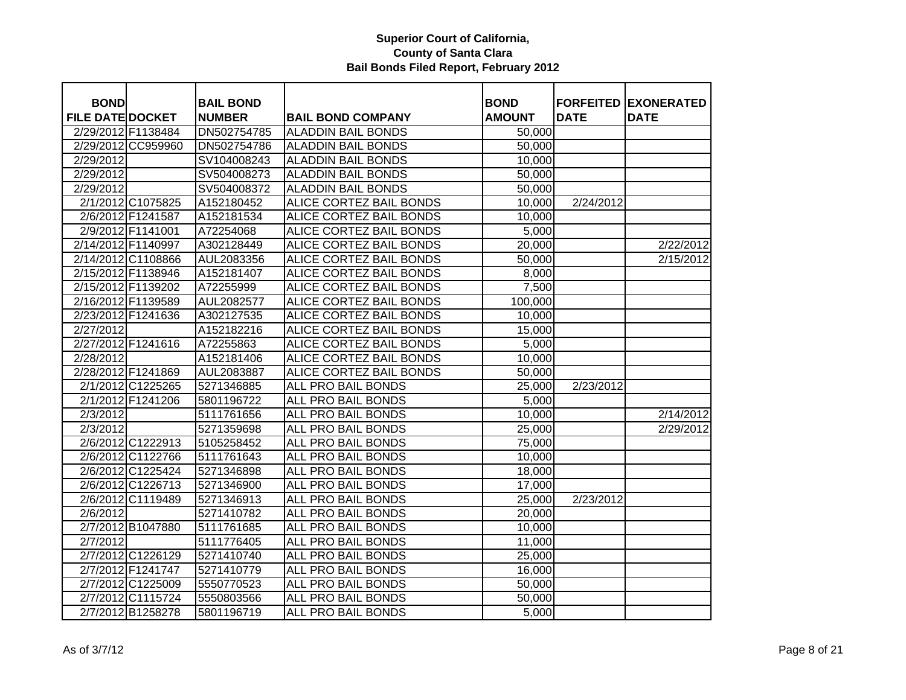| <b>BOND</b>             |                    | <b>BAIL BOND</b> |                                | <b>BOND</b>   | <b>FORFEITED</b> | <b>EXONERATED</b> |
|-------------------------|--------------------|------------------|--------------------------------|---------------|------------------|-------------------|
| <b>FILE DATE DOCKET</b> |                    | <b>NUMBER</b>    | <b>BAIL BOND COMPANY</b>       | <b>AMOUNT</b> | <b>DATE</b>      | <b>DATE</b>       |
| 2/29/2012 F1138484      |                    | DN502754785      | <b>ALADDIN BAIL BONDS</b>      | 50,000        |                  |                   |
|                         | 2/29/2012 CC959960 | DN502754786      | <b>ALADDIN BAIL BONDS</b>      | 50,000        |                  |                   |
| 2/29/2012               |                    | SV104008243      | <b>ALADDIN BAIL BONDS</b>      | 10,000        |                  |                   |
| 2/29/2012               |                    | SV504008273      | <b>ALADDIN BAIL BONDS</b>      | 50,000        |                  |                   |
| 2/29/2012               |                    | SV504008372      | <b>ALADDIN BAIL BONDS</b>      | 50,000        |                  |                   |
|                         | 2/1/2012 C1075825  | A152180452       | ALICE CORTEZ BAIL BONDS        | 10,000        | 2/24/2012        |                   |
|                         | 2/6/2012 F1241587  | A152181534       | ALICE CORTEZ BAIL BONDS        | 10,000        |                  |                   |
|                         | 2/9/2012 F1141001  | A72254068        | <b>ALICE CORTEZ BAIL BONDS</b> | 5,000         |                  |                   |
| 2/14/2012 F1140997      |                    | A302128449       | ALICE CORTEZ BAIL BONDS        | 20,000        |                  | 2/22/2012         |
| 2/14/2012 C1108866      |                    | AUL2083356       | ALICE CORTEZ BAIL BONDS        | 50,000        |                  | 2/15/2012         |
| 2/15/2012 F1138946      |                    | A152181407       | ALICE CORTEZ BAIL BONDS        | 8,000         |                  |                   |
| 2/15/2012 F1139202      |                    | A72255999        | ALICE CORTEZ BAIL BONDS        | 7,500         |                  |                   |
| 2/16/2012 F1139589      |                    | AUL2082577       | ALICE CORTEZ BAIL BONDS        | 100,000       |                  |                   |
| 2/23/2012 F1241636      |                    | A302127535       | ALICE CORTEZ BAIL BONDS        | 10,000        |                  |                   |
| 2/27/2012               |                    | A152182216       | ALICE CORTEZ BAIL BONDS        | 15,000        |                  |                   |
| 2/27/2012 F1241616      |                    | A72255863        | ALICE CORTEZ BAIL BONDS        | 5,000         |                  |                   |
| 2/28/2012               |                    | A152181406       | ALICE CORTEZ BAIL BONDS        | 10,000        |                  |                   |
| 2/28/2012 F1241869      |                    | AUL2083887       | ALICE CORTEZ BAIL BONDS        | 50,000        |                  |                   |
|                         | 2/1/2012 C1225265  | 5271346885       | ALL PRO BAIL BONDS             | 25,000        | 2/23/2012        |                   |
|                         | 2/1/2012 F1241206  | 5801196722       | ALL PRO BAIL BONDS             | 5,000         |                  |                   |
| 2/3/2012                |                    | 5111761656       | ALL PRO BAIL BONDS             | 10,000        |                  | 2/14/2012         |
| 2/3/2012                |                    | 5271359698       | ALL PRO BAIL BONDS             | 25,000        |                  | 2/29/2012         |
|                         | 2/6/2012 C1222913  | 5105258452       | ALL PRO BAIL BONDS             | 75,000        |                  |                   |
|                         | 2/6/2012 C1122766  | 5111761643       | ALL PRO BAIL BONDS             | 10,000        |                  |                   |
|                         | 2/6/2012 C1225424  | 5271346898       | <b>ALL PRO BAIL BONDS</b>      | 18,000        |                  |                   |
|                         | 2/6/2012 C1226713  | 5271346900       | <b>ALL PRO BAIL BONDS</b>      | 17,000        |                  |                   |
|                         | 2/6/2012 C1119489  | 5271346913       | <b>ALL PRO BAIL BONDS</b>      | 25,000        | 2/23/2012        |                   |
| 2/6/2012                |                    | 5271410782       | <b>ALL PRO BAIL BONDS</b>      | 20,000        |                  |                   |
|                         | 2/7/2012 B1047880  | 5111761685       | ALL PRO BAIL BONDS             | 10,000        |                  |                   |
| 2/7/2012                |                    | 5111776405       | ALL PRO BAIL BONDS             | 11,000        |                  |                   |
|                         | 2/7/2012 C1226129  | 5271410740       | ALL PRO BAIL BONDS             | 25,000        |                  |                   |
|                         | 2/7/2012 F1241747  | 5271410779       | ALL PRO BAIL BONDS             | 16,000        |                  |                   |
|                         | 2/7/2012 C1225009  | 5550770523       | ALL PRO BAIL BONDS             | 50,000        |                  |                   |
|                         | 2/7/2012 C1115724  | 5550803566       | ALL PRO BAIL BONDS             | 50,000        |                  |                   |
|                         | 2/7/2012 B1258278  | 5801196719       | ALL PRO BAIL BONDS             | 5,000         |                  |                   |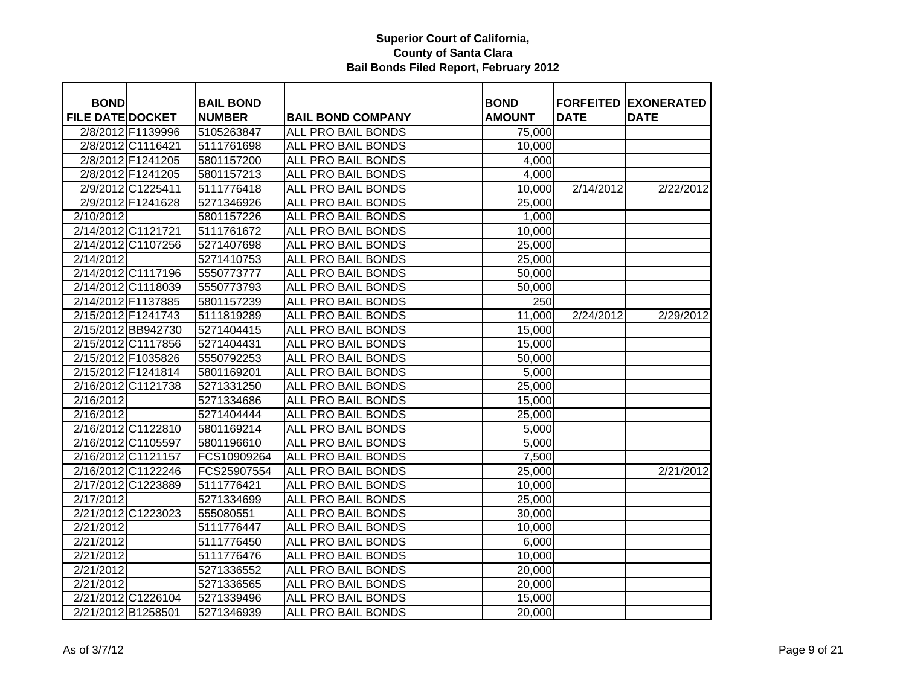| <b>BOND</b>             |                   | <b>BAIL BOND</b> |                           | <b>BOND</b>   |             | <b>FORFEITED EXONERATED</b> |
|-------------------------|-------------------|------------------|---------------------------|---------------|-------------|-----------------------------|
| <b>FILE DATE DOCKET</b> |                   | <b>NUMBER</b>    | <b>BAIL BOND COMPANY</b>  | <b>AMOUNT</b> | <b>DATE</b> | <b>DATE</b>                 |
|                         | 2/8/2012 F1139996 | 5105263847       | <b>ALL PRO BAIL BONDS</b> | 75,000        |             |                             |
|                         | 2/8/2012 C1116421 | 5111761698       | <b>ALL PRO BAIL BONDS</b> | 10,000        |             |                             |
|                         | 2/8/2012 F1241205 | 5801157200       | <b>ALL PRO BAIL BONDS</b> | 4,000         |             |                             |
|                         | 2/8/2012 F1241205 | 5801157213       | ALL PRO BAIL BONDS        | 4,000         |             |                             |
|                         | 2/9/2012 C1225411 | 5111776418       | <b>ALL PRO BAIL BONDS</b> | 10,000        | 2/14/2012   | 2/22/2012                   |
|                         | 2/9/2012 F1241628 | 5271346926       | ALL PRO BAIL BONDS        | 25,000        |             |                             |
| 2/10/2012               |                   | 5801157226       | ALL PRO BAIL BONDS        | 1,000         |             |                             |
| 2/14/2012 C1121721      |                   | 5111761672       | ALL PRO BAIL BONDS        | 10,000        |             |                             |
| 2/14/2012 C1107256      |                   | 5271407698       | ALL PRO BAIL BONDS        | 25,000        |             |                             |
| 2/14/2012               |                   | 5271410753       | ALL PRO BAIL BONDS        | 25,000        |             |                             |
| 2/14/2012 C1117196      |                   | 5550773777       | ALL PRO BAIL BONDS        | 50,000        |             |                             |
| 2/14/2012 C1118039      |                   | 5550773793       | ALL PRO BAIL BONDS        | 50,000        |             |                             |
| 2/14/2012 F1137885      |                   | 5801157239       | ALL PRO BAIL BONDS        | 250           |             |                             |
| 2/15/2012 F1241743      |                   | 5111819289       | ALL PRO BAIL BONDS        | 11,000        | 2/24/2012   | 2/29/2012                   |
| 2/15/2012 BB942730      |                   | 5271404415       | ALL PRO BAIL BONDS        | 15,000        |             |                             |
| 2/15/2012 C1117856      |                   | 5271404431       | ALL PRO BAIL BONDS        | 15,000        |             |                             |
| 2/15/2012 F1035826      |                   | 5550792253       | ALL PRO BAIL BONDS        | 50,000        |             |                             |
| 2/15/2012 F1241814      |                   | 5801169201       | ALL PRO BAIL BONDS        | 5,000         |             |                             |
| 2/16/2012 C1121738      |                   | 5271331250       | ALL PRO BAIL BONDS        | 25,000        |             |                             |
| 2/16/2012               |                   | 5271334686       | ALL PRO BAIL BONDS        | 15,000        |             |                             |
| 2/16/2012               |                   | 5271404444       | ALL PRO BAIL BONDS        | 25,000        |             |                             |
| 2/16/2012 C1122810      |                   | 5801169214       | ALL PRO BAIL BONDS        | 5,000         |             |                             |
| 2/16/2012 C1105597      |                   | 5801196610       | ALL PRO BAIL BONDS        | 5,000         |             |                             |
| 2/16/2012 C1121157      |                   | FCS10909264      | <b>ALL PRO BAIL BONDS</b> | 7,500         |             |                             |
| 2/16/2012 C1122246      |                   | FCS25907554      | ALL PRO BAIL BONDS        | 25,000        |             | 2/21/2012                   |
| 2/17/2012 C1223889      |                   | 5111776421       | <b>ALL PRO BAIL BONDS</b> | 10,000        |             |                             |
| 2/17/2012               |                   | 5271334699       | <b>ALL PRO BAIL BONDS</b> | 25,000        |             |                             |
| 2/21/2012 C1223023      |                   | 555080551        | <b>ALL PRO BAIL BONDS</b> | 30,000        |             |                             |
| 2/21/2012               |                   | 5111776447       | <b>ALL PRO BAIL BONDS</b> | 10,000        |             |                             |
| 2/21/2012               |                   | 5111776450       | ALL PRO BAIL BONDS        | 6,000         |             |                             |
| 2/21/2012               |                   | 5111776476       | ALL PRO BAIL BONDS        | 10,000        |             |                             |
| 2/21/2012               |                   | 5271336552       | ALL PRO BAIL BONDS        | 20,000        |             |                             |
| 2/21/2012               |                   | 5271336565       | ALL PRO BAIL BONDS        | 20,000        |             |                             |
| 2/21/2012 C1226104      |                   | 5271339496       | ALL PRO BAIL BONDS        | 15,000        |             |                             |
| 2/21/2012 B1258501      |                   | 5271346939       | ALL PRO BAIL BONDS        | 20,000        |             |                             |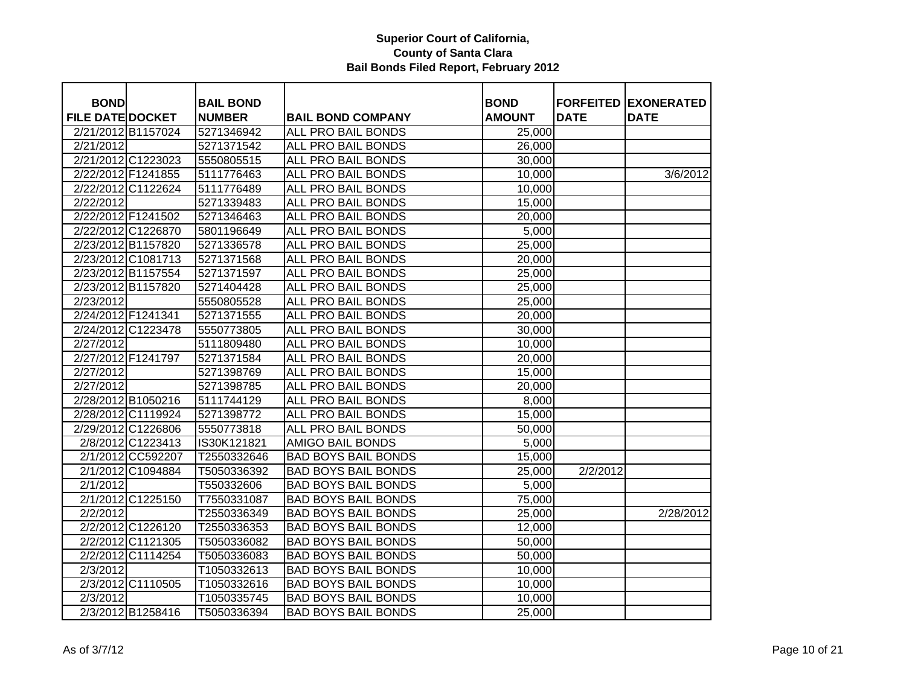| <b>BOND</b>             |                   | <b>BAIL BOND</b> |                                                       | <b>BOND</b>      |             | <b>FORFEITED EXONERATED</b> |
|-------------------------|-------------------|------------------|-------------------------------------------------------|------------------|-------------|-----------------------------|
| <b>FILE DATE DOCKET</b> |                   | <b>NUMBER</b>    |                                                       | <b>AMOUNT</b>    | <b>DATE</b> | <b>DATE</b>                 |
| 2/21/2012 B1157024      |                   | 5271346942       | <b>BAIL BOND COMPANY</b><br><b>ALL PRO BAIL BONDS</b> | 25,000           |             |                             |
| 2/21/2012               |                   | 5271371542       | <b>ALL PRO BAIL BONDS</b>                             |                  |             |                             |
| 2/21/2012 C1223023      |                   | 5550805515       | <b>ALL PRO BAIL BONDS</b>                             | 26,000<br>30,000 |             |                             |
| 2/22/2012 F1241855      |                   | 5111776463       | ALL PRO BAIL BONDS                                    | 10,000           |             | 3/6/2012                    |
| 2/22/2012 C1122624      |                   | 5111776489       | ALL PRO BAIL BONDS                                    | 10,000           |             |                             |
| 2/22/2012               |                   | 5271339483       | ALL PRO BAIL BONDS                                    | 15,000           |             |                             |
| 2/22/2012 F1241502      |                   | 5271346463       | ALL PRO BAIL BONDS                                    | 20,000           |             |                             |
| 2/22/2012 C1226870      |                   | 5801196649       | ALL PRO BAIL BONDS                                    | 5,000            |             |                             |
| 2/23/2012 B1157820      |                   | 5271336578       | ALL PRO BAIL BONDS                                    |                  |             |                             |
| 2/23/2012 C1081713      |                   |                  | ALL PRO BAIL BONDS                                    | 25,000           |             |                             |
|                         |                   | 5271371568       |                                                       | 20,000           |             |                             |
| 2/23/2012 B1157554      |                   | 5271371597       | ALL PRO BAIL BONDS                                    | 25,000           |             |                             |
| 2/23/2012 B1157820      |                   | 5271404428       | ALL PRO BAIL BONDS                                    | 25,000           |             |                             |
| 2/23/2012               |                   | 5550805528       | ALL PRO BAIL BONDS                                    | 25,000           |             |                             |
| 2/24/2012 F1241341      |                   | 5271371555       | ALL PRO BAIL BONDS                                    | 20,000           |             |                             |
| 2/24/2012 C1223478      |                   | 5550773805       | ALL PRO BAIL BONDS                                    | 30,000           |             |                             |
| 2/27/2012               |                   | 5111809480       | ALL PRO BAIL BONDS                                    | 10,000           |             |                             |
| 2/27/2012 F1241797      |                   | 5271371584       | ALL PRO BAIL BONDS                                    | 20,000           |             |                             |
| 2/27/2012               |                   | 5271398769       | ALL PRO BAIL BONDS                                    | 15,000           |             |                             |
| 2/27/2012               |                   | 5271398785       | ALL PRO BAIL BONDS                                    | 20,000           |             |                             |
| 2/28/2012 B1050216      |                   | 5111744129       | ALL PRO BAIL BONDS                                    | 8,000            |             |                             |
| 2/28/2012 C1119924      |                   | 5271398772       | ALL PRO BAIL BONDS                                    | 15,000           |             |                             |
| 2/29/2012 C1226806      |                   | 5550773818       | ALL PRO BAIL BONDS                                    | 50,000           |             |                             |
|                         | 2/8/2012 C1223413 | IS30K121821      | <b>AMIGO BAIL BONDS</b>                               | 5,000            |             |                             |
|                         | 2/1/2012 CC592207 | T2550332646      | <b>BAD BOYS BAIL BONDS</b>                            | 15,000           |             |                             |
|                         | 2/1/2012 C1094884 | T5050336392      | <b>BAD BOYS BAIL BONDS</b>                            | 25,000           | 2/2/2012    |                             |
| 2/1/2012                |                   | T550332606       | <b>BAD BOYS BAIL BONDS</b>                            | 5,000            |             |                             |
|                         | 2/1/2012 C1225150 | T7550331087      | <b>BAD BOYS BAIL BONDS</b>                            | 75,000           |             |                             |
| 2/2/2012                |                   | T2550336349      | <b>BAD BOYS BAIL BONDS</b>                            | 25,000           |             | 2/28/2012                   |
|                         | 2/2/2012 C1226120 | T2550336353      | <b>BAD BOYS BAIL BONDS</b>                            | 12,000           |             |                             |
|                         | 2/2/2012 C1121305 | T5050336082      | <b>BAD BOYS BAIL BONDS</b>                            | 50,000           |             |                             |
|                         | 2/2/2012 C1114254 | T5050336083      | <b>BAD BOYS BAIL BONDS</b>                            | 50,000           |             |                             |
| 2/3/2012                |                   | T1050332613      | <b>BAD BOYS BAIL BONDS</b>                            | 10,000           |             |                             |
|                         | 2/3/2012 C1110505 | T1050332616      | <b>BAD BOYS BAIL BONDS</b>                            | 10,000           |             |                             |
| 2/3/2012                |                   | T1050335745      | <b>BAD BOYS BAIL BONDS</b>                            | 10,000           |             |                             |
|                         | 2/3/2012 B1258416 | T5050336394      | <b>BAD BOYS BAIL BONDS</b>                            | 25,000           |             |                             |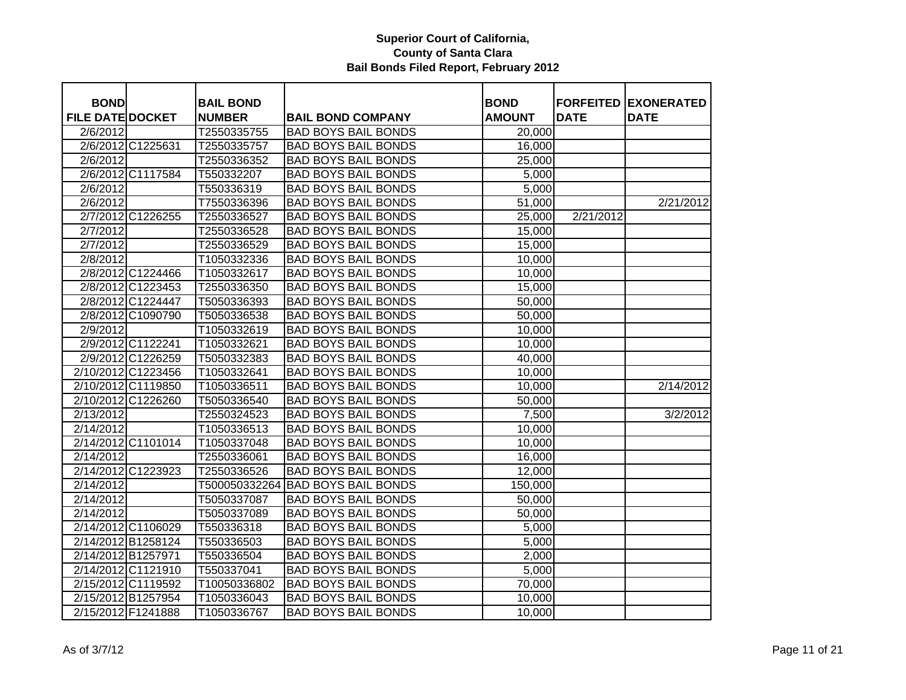| <b>BOND</b>             |                    | <b>BAIL BOND</b> |                            | <b>BOND</b>   | <b>FORFEITED</b> | <b>EXONERATED</b> |
|-------------------------|--------------------|------------------|----------------------------|---------------|------------------|-------------------|
| <b>FILE DATE DOCKET</b> |                    | <b>NUMBER</b>    | <b>BAIL BOND COMPANY</b>   | <b>AMOUNT</b> | <b>DATE</b>      | <b>DATE</b>       |
| 2/6/2012                |                    | T2550335755      | <b>BAD BOYS BAIL BONDS</b> | 20,000        |                  |                   |
|                         | 2/6/2012 C1225631  | T2550335757      | <b>BAD BOYS BAIL BONDS</b> | 16,000        |                  |                   |
| 2/6/2012                |                    | T2550336352      | <b>BAD BOYS BAIL BONDS</b> | 25,000        |                  |                   |
|                         | 2/6/2012 C1117584  | T550332207       | <b>BAD BOYS BAIL BONDS</b> | 5,000         |                  |                   |
| 2/6/2012                |                    | T550336319       | <b>BAD BOYS BAIL BONDS</b> | 5,000         |                  |                   |
| 2/6/2012                |                    | T7550336396      | <b>BAD BOYS BAIL BONDS</b> | 51,000        |                  | 2/21/2012         |
|                         | 2/7/2012 C1226255  | T2550336527      | <b>BAD BOYS BAIL BONDS</b> | 25,000        | 2/21/2012        |                   |
| 2/7/2012                |                    | T2550336528      | <b>BAD BOYS BAIL BONDS</b> | 15,000        |                  |                   |
| 2/7/2012                |                    | T2550336529      | <b>BAD BOYS BAIL BONDS</b> | 15,000        |                  |                   |
| 2/8/2012                |                    | T1050332336      | <b>BAD BOYS BAIL BONDS</b> | 10,000        |                  |                   |
|                         | 2/8/2012 C1224466  | T1050332617      | <b>BAD BOYS BAIL BONDS</b> | 10,000        |                  |                   |
|                         | 2/8/2012 C1223453  | T2550336350      | <b>BAD BOYS BAIL BONDS</b> | 15,000        |                  |                   |
|                         | 2/8/2012 C1224447  | T5050336393      | <b>BAD BOYS BAIL BONDS</b> | 50,000        |                  |                   |
|                         | 2/8/2012 C1090790  | T5050336538      | <b>BAD BOYS BAIL BONDS</b> | 50,000        |                  |                   |
| 2/9/2012                |                    | T1050332619      | <b>BAD BOYS BAIL BONDS</b> | 10,000        |                  |                   |
|                         | 2/9/2012 C1122241  | T1050332621      | <b>BAD BOYS BAIL BONDS</b> | 10,000        |                  |                   |
|                         | 2/9/2012 C1226259  | T5050332383      | <b>BAD BOYS BAIL BONDS</b> | 40,000        |                  |                   |
|                         | 2/10/2012 C1223456 | T1050332641      | <b>BAD BOYS BAIL BONDS</b> | 10,000        |                  |                   |
|                         | 2/10/2012 C1119850 | T1050336511      | <b>BAD BOYS BAIL BONDS</b> | 10,000        |                  | 2/14/2012         |
|                         | 2/10/2012 C1226260 | T5050336540      | <b>BAD BOYS BAIL BONDS</b> | 50,000        |                  |                   |
| 2/13/2012               |                    | T2550324523      | <b>BAD BOYS BAIL BONDS</b> | 7,500         |                  | 3/2/2012          |
| 2/14/2012               |                    | T1050336513      | <b>BAD BOYS BAIL BONDS</b> | 10,000        |                  |                   |
|                         | 2/14/2012 C1101014 | T1050337048      | <b>BAD BOYS BAIL BONDS</b> | 10,000        |                  |                   |
| 2/14/2012               |                    | T2550336061      | <b>BAD BOYS BAIL BONDS</b> | 16,000        |                  |                   |
|                         | 2/14/2012 C1223923 | T2550336526      | <b>BAD BOYS BAIL BONDS</b> | 12,000        |                  |                   |
| 2/14/2012               |                    | T500050332264    | <b>BAD BOYS BAIL BONDS</b> | 150,000       |                  |                   |
| 2/14/2012               |                    | T5050337087      | <b>BAD BOYS BAIL BONDS</b> | 50,000        |                  |                   |
| 2/14/2012               |                    | T5050337089      | <b>BAD BOYS BAIL BONDS</b> | 50,000        |                  |                   |
|                         | 2/14/2012 C1106029 | T550336318       | <b>BAD BOYS BAIL BONDS</b> | 5,000         |                  |                   |
|                         | 2/14/2012 B1258124 | T550336503       | <b>BAD BOYS BAIL BONDS</b> | 5,000         |                  |                   |
|                         | 2/14/2012 B1257971 | T550336504       | <b>BAD BOYS BAIL BONDS</b> | 2,000         |                  |                   |
|                         | 2/14/2012 C1121910 | T550337041       | <b>BAD BOYS BAIL BONDS</b> | 5,000         |                  |                   |
|                         | 2/15/2012 C1119592 | T10050336802     | <b>BAD BOYS BAIL BONDS</b> | 70,000        |                  |                   |
|                         | 2/15/2012 B1257954 | T1050336043      | <b>BAD BOYS BAIL BONDS</b> | 10,000        |                  |                   |
|                         | 2/15/2012 F1241888 | T1050336767      | <b>BAD BOYS BAIL BONDS</b> | 10,000        |                  |                   |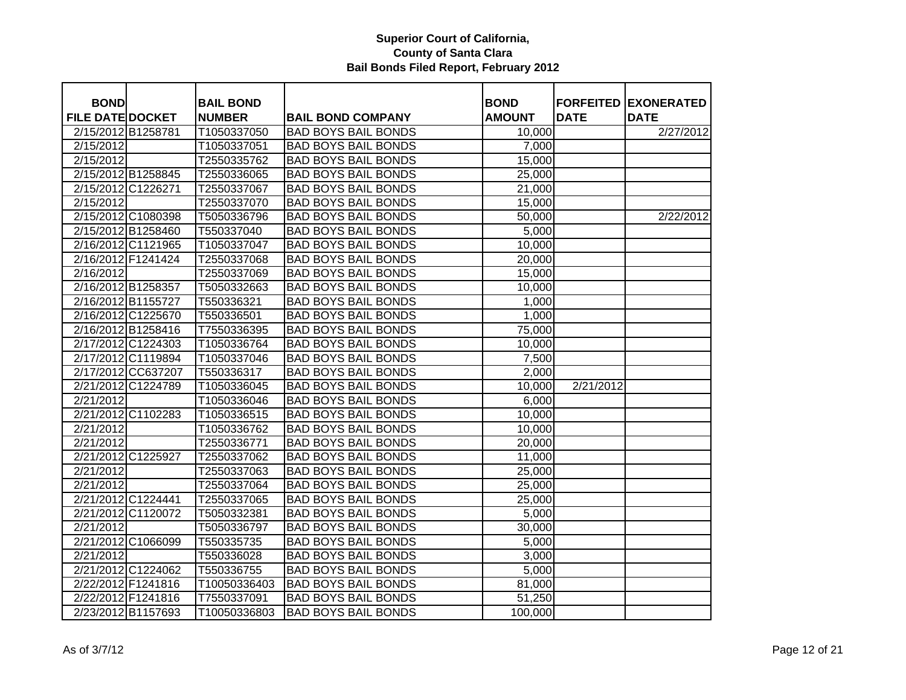| <b>BOND</b>             |                    | <b>BAIL BOND</b> |                            | <b>BOND</b>   |             | <b>FORFEITED EXONERATED</b> |
|-------------------------|--------------------|------------------|----------------------------|---------------|-------------|-----------------------------|
| <b>FILE DATE DOCKET</b> |                    | <b>NUMBER</b>    | <b>BAIL BOND COMPANY</b>   | <b>AMOUNT</b> | <b>DATE</b> | <b>DATE</b>                 |
| 2/15/2012 B1258781      |                    | T1050337050      | <b>BAD BOYS BAIL BONDS</b> | 10,000        |             | 2/27/2012                   |
| 2/15/2012               |                    | T1050337051      | <b>BAD BOYS BAIL BONDS</b> | 7,000         |             |                             |
| 2/15/2012               |                    | T2550335762      | <b>BAD BOYS BAIL BONDS</b> | 15,000        |             |                             |
|                         | 2/15/2012 B1258845 | T2550336065      | <b>BAD BOYS BAIL BONDS</b> | 25,000        |             |                             |
|                         | 2/15/2012 C1226271 | T2550337067      | <b>BAD BOYS BAIL BONDS</b> | 21,000        |             |                             |
| $\overline{2/15/2012}$  |                    | T2550337070      | <b>BAD BOYS BAIL BONDS</b> | 15,000        |             |                             |
|                         | 2/15/2012 C1080398 | T5050336796      | <b>BAD BOYS BAIL BONDS</b> | 50,000        |             | 2/22/2012                   |
|                         | 2/15/2012 B1258460 | T550337040       | <b>BAD BOYS BAIL BONDS</b> | 5,000         |             |                             |
|                         | 2/16/2012 C1121965 | T1050337047      | <b>BAD BOYS BAIL BONDS</b> | 10,000        |             |                             |
|                         | 2/16/2012 F1241424 | T2550337068      | <b>BAD BOYS BAIL BONDS</b> | 20,000        |             |                             |
| 2/16/2012               |                    | T2550337069      | <b>BAD BOYS BAIL BONDS</b> | 15,000        |             |                             |
| 2/16/2012 B1258357      |                    | T5050332663      | <b>BAD BOYS BAIL BONDS</b> | 10,000        |             |                             |
|                         | 2/16/2012 B1155727 | T550336321       | <b>BAD BOYS BAIL BONDS</b> | 1,000         |             |                             |
|                         | 2/16/2012 C1225670 | T550336501       | <b>BAD BOYS BAIL BONDS</b> | 1,000         |             |                             |
|                         | 2/16/2012 B1258416 | T7550336395      | <b>BAD BOYS BAIL BONDS</b> | 75,000        |             |                             |
|                         | 2/17/2012 C1224303 | T1050336764      | <b>BAD BOYS BAIL BONDS</b> | 10,000        |             |                             |
|                         | 2/17/2012 C1119894 | T1050337046      | <b>BAD BOYS BAIL BONDS</b> | 7,500         |             |                             |
|                         | 2/17/2012 CC637207 | T550336317       | <b>BAD BOYS BAIL BONDS</b> | 2,000         |             |                             |
|                         | 2/21/2012 C1224789 | T1050336045      | <b>BAD BOYS BAIL BONDS</b> | 10,000        | 2/21/2012   |                             |
| 2/21/2012               |                    | T1050336046      | <b>BAD BOYS BAIL BONDS</b> | 6,000         |             |                             |
|                         | 2/21/2012 C1102283 | T1050336515      | <b>BAD BOYS BAIL BONDS</b> | 10,000        |             |                             |
| $\overline{2/21/2012}$  |                    | T1050336762      | <b>BAD BOYS BAIL BONDS</b> | 10,000        |             |                             |
| 2/21/2012               |                    | T2550336771      | <b>BAD BOYS BAIL BONDS</b> | 20,000        |             |                             |
|                         | 2/21/2012 C1225927 | T2550337062      | <b>BAD BOYS BAIL BONDS</b> | 11,000        |             |                             |
| 2/21/2012               |                    | T2550337063      | <b>BAD BOYS BAIL BONDS</b> | 25,000        |             |                             |
| 2/21/2012               |                    | T2550337064      | <b>BAD BOYS BAIL BONDS</b> | 25,000        |             |                             |
|                         | 2/21/2012 C1224441 | T2550337065      | <b>BAD BOYS BAIL BONDS</b> | 25,000        |             |                             |
|                         | 2/21/2012 C1120072 | T5050332381      | <b>BAD BOYS BAIL BONDS</b> | 5,000         |             |                             |
| 2/21/2012               |                    | T5050336797      | <b>BAD BOYS BAIL BONDS</b> | 30,000        |             |                             |
|                         | 2/21/2012 C1066099 | T550335735       | <b>BAD BOYS BAIL BONDS</b> | 5,000         |             |                             |
| 2/21/2012               |                    | T550336028       | <b>BAD BOYS BAIL BONDS</b> | 3,000         |             |                             |
|                         | 2/21/2012 C1224062 | T550336755       | <b>BAD BOYS BAIL BONDS</b> | 5,000         |             |                             |
|                         | 2/22/2012 F1241816 | T10050336403     | <b>BAD BOYS BAIL BONDS</b> | 81,000        |             |                             |
|                         | 2/22/2012 F1241816 | T7550337091      | <b>BAD BOYS BAIL BONDS</b> | 51,250        |             |                             |
|                         | 2/23/2012 B1157693 | T10050336803     | <b>BAD BOYS BAIL BONDS</b> | 100,000       |             |                             |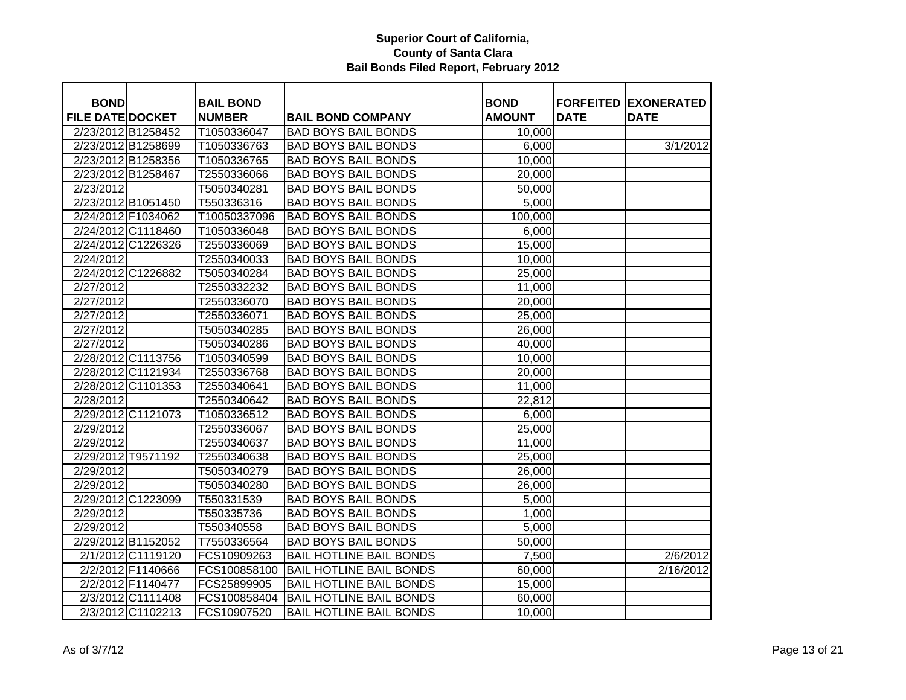| <b>BOND</b>             |                    | <b>BAIL BOND</b> |                                | <b>BOND</b>   | <b>FORFEITED</b><br><b>DATE</b> | <b>EXONERATED</b>      |
|-------------------------|--------------------|------------------|--------------------------------|---------------|---------------------------------|------------------------|
| <b>FILE DATE DOCKET</b> |                    | <b>NUMBER</b>    | <b>BAIL BOND COMPANY</b>       | <b>AMOUNT</b> |                                 | <b>DATE</b>            |
|                         | 2/23/2012 B1258452 | T1050336047      | <b>BAD BOYS BAIL BONDS</b>     | 10,000        |                                 |                        |
|                         | 2/23/2012 B1258699 | T1050336763      | <b>BAD BOYS BAIL BONDS</b>     | 6,000         |                                 | 3/1/2012               |
|                         | 2/23/2012 B1258356 | T1050336765      | <b>BAD BOYS BAIL BONDS</b>     | 10,000        |                                 |                        |
|                         | 2/23/2012 B1258467 | T2550336066      | <b>BAD BOYS BAIL BONDS</b>     | 20,000        |                                 |                        |
| 2/23/2012               |                    | T5050340281      | <b>BAD BOYS BAIL BONDS</b>     | 50,000        |                                 |                        |
|                         | 2/23/2012 B1051450 | T550336316       | <b>BAD BOYS BAIL BONDS</b>     | 5,000         |                                 |                        |
|                         | 2/24/2012 F1034062 | T10050337096     | <b>BAD BOYS BAIL BONDS</b>     | 100,000       |                                 |                        |
|                         | 2/24/2012 C1118460 | T1050336048      | <b>BAD BOYS BAIL BONDS</b>     | 6,000         |                                 |                        |
|                         | 2/24/2012 C1226326 | T2550336069      | <b>BAD BOYS BAIL BONDS</b>     | 15,000        |                                 |                        |
| 2/24/2012               |                    | T2550340033      | <b>BAD BOYS BAIL BONDS</b>     | 10,000        |                                 |                        |
|                         | 2/24/2012 C1226882 | T5050340284      | <b>BAD BOYS BAIL BONDS</b>     | 25,000        |                                 |                        |
| 2/27/2012               |                    | T2550332232      | <b>BAD BOYS BAIL BONDS</b>     | 11,000        |                                 |                        |
| 2/27/2012               |                    | T2550336070      | <b>BAD BOYS BAIL BONDS</b>     | 20,000        |                                 |                        |
| 2/27/2012               |                    | T2550336071      | <b>BAD BOYS BAIL BONDS</b>     | 25,000        |                                 |                        |
| 2/27/2012               |                    | T5050340285      | <b>BAD BOYS BAIL BONDS</b>     | 26,000        |                                 |                        |
| 2/27/2012               |                    | T5050340286      | <b>BAD BOYS BAIL BONDS</b>     | 40,000        |                                 |                        |
|                         | 2/28/2012 C1113756 | T1050340599      | <b>BAD BOYS BAIL BONDS</b>     | 10,000        |                                 |                        |
|                         | 2/28/2012 C1121934 | T2550336768      | <b>BAD BOYS BAIL BONDS</b>     | 20,000        |                                 |                        |
|                         | 2/28/2012 C1101353 | T2550340641      | <b>BAD BOYS BAIL BONDS</b>     | 11,000        |                                 |                        |
| 2/28/2012               |                    | T2550340642      | <b>BAD BOYS BAIL BONDS</b>     | 22,812        |                                 |                        |
|                         | 2/29/2012 C1121073 | T1050336512      | <b>BAD BOYS BAIL BONDS</b>     | 6,000         |                                 |                        |
| 2/29/2012               |                    | T2550336067      | <b>BAD BOYS BAIL BONDS</b>     | 25,000        |                                 |                        |
| 2/29/2012               |                    | T2550340637      | <b>BAD BOYS BAIL BONDS</b>     | 11,000        |                                 |                        |
|                         | 2/29/2012 T9571192 | T2550340638      | <b>BAD BOYS BAIL BONDS</b>     | 25,000        |                                 |                        |
| 2/29/2012               |                    | T5050340279      | <b>BAD BOYS BAIL BONDS</b>     | 26,000        |                                 |                        |
| 2/29/2012               |                    | T5050340280      | <b>BAD BOYS BAIL BONDS</b>     | 26,000        |                                 |                        |
|                         | 2/29/2012 C1223099 | T550331539       | <b>BAD BOYS BAIL BONDS</b>     | 5,000         |                                 |                        |
| 2/29/2012               |                    | T550335736       | <b>BAD BOYS BAIL BONDS</b>     | 1,000         |                                 |                        |
| 2/29/2012               |                    | T550340558       | <b>BAD BOYS BAIL BONDS</b>     | 5,000         |                                 |                        |
|                         | 2/29/2012 B1152052 | T7550336564      | <b>BAD BOYS BAIL BONDS</b>     | 50,000        |                                 |                        |
|                         | 2/1/2012 C1119120  | FCS10909263      | <b>BAIL HOTLINE BAIL BONDS</b> | 7,500         |                                 | 2/6/2012               |
|                         | 2/2/2012 F1140666  | FCS100858100     | <b>BAIL HOTLINE BAIL BONDS</b> | 60,000        |                                 | $\overline{2/16/2012}$ |
|                         | 2/2/2012 F1140477  | FCS25899905      | <b>BAIL HOTLINE BAIL BONDS</b> | 15,000        |                                 |                        |
|                         | 2/3/2012 C1111408  | FCS100858404     | <b>BAIL HOTLINE BAIL BONDS</b> | 60,000        |                                 |                        |
|                         | 2/3/2012 C1102213  | FCS10907520      | <b>BAIL HOTLINE BAIL BONDS</b> | 10,000        |                                 |                        |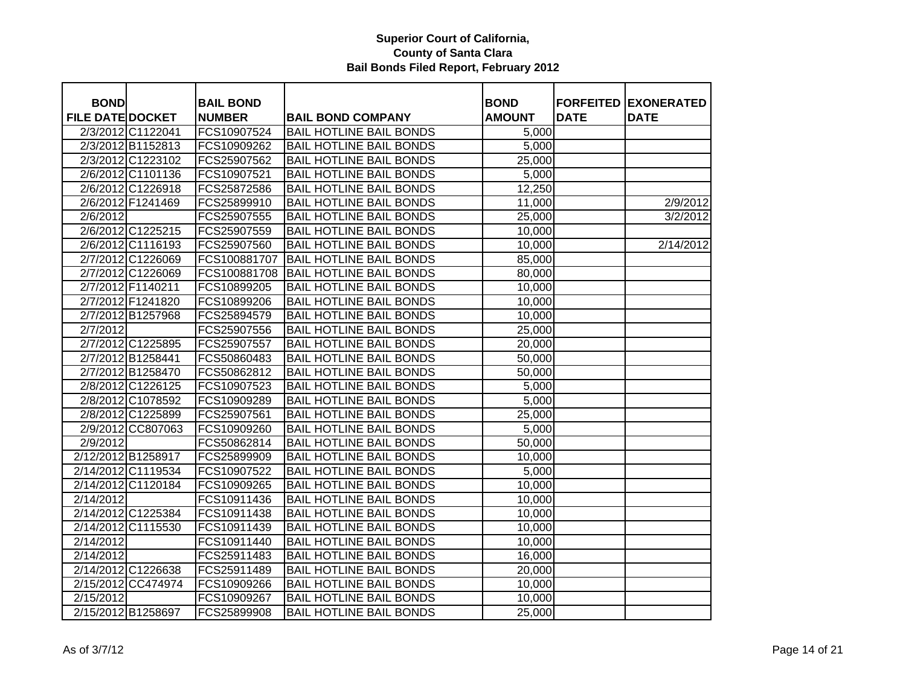| <b>BOND</b>             |                    | <b>BAIL BOND</b> |                                | <b>BOND</b>   | <b>FORFEITED</b> | <b>EXONERATED</b> |
|-------------------------|--------------------|------------------|--------------------------------|---------------|------------------|-------------------|
| <b>FILE DATE DOCKET</b> |                    | <b>NUMBER</b>    | <b>BAIL BOND COMPANY</b>       | <b>AMOUNT</b> | <b>DATE</b>      | <b>DATE</b>       |
|                         | 2/3/2012 C1122041  | FCS10907524      | <b>BAIL HOTLINE BAIL BONDS</b> | 5,000         |                  |                   |
|                         | 2/3/2012 B1152813  | FCS10909262      | <b>BAIL HOTLINE BAIL BONDS</b> | 5,000         |                  |                   |
|                         | 2/3/2012 C1223102  | FCS25907562      | <b>BAIL HOTLINE BAIL BONDS</b> | 25,000        |                  |                   |
|                         | 2/6/2012 C1101136  | FCS10907521      | <b>BAIL HOTLINE BAIL BONDS</b> | 5,000         |                  |                   |
|                         | 2/6/2012 C1226918  | FCS25872586      | <b>BAIL HOTLINE BAIL BONDS</b> | 12,250        |                  |                   |
|                         | 2/6/2012 F1241469  | FCS25899910      | <b>BAIL HOTLINE BAIL BONDS</b> | 11,000        |                  | 2/9/2012          |
| 2/6/2012                |                    | FCS25907555      | <b>BAIL HOTLINE BAIL BONDS</b> | 25,000        |                  | 3/2/2012          |
|                         | 2/6/2012 C1225215  | FCS25907559      | <b>BAIL HOTLINE BAIL BONDS</b> | 10,000        |                  |                   |
|                         | 2/6/2012 C1116193  | FCS25907560      | <b>BAIL HOTLINE BAIL BONDS</b> | 10,000        |                  | 2/14/2012         |
|                         | 2/7/2012 C1226069  | FCS100881707     | <b>BAIL HOTLINE BAIL BONDS</b> | 85,000        |                  |                   |
|                         | 2/7/2012 C1226069  | FCS100881708     | <b>BAIL HOTLINE BAIL BONDS</b> | 80,000        |                  |                   |
|                         | 2/7/2012 F1140211  | FCS10899205      | <b>BAIL HOTLINE BAIL BONDS</b> | 10,000        |                  |                   |
|                         | 2/7/2012 F1241820  | FCS10899206      | <b>BAIL HOTLINE BAIL BONDS</b> | 10,000        |                  |                   |
|                         | 2/7/2012 B1257968  | FCS25894579      | <b>BAIL HOTLINE BAIL BONDS</b> | 10,000        |                  |                   |
| 2/7/2012                |                    | FCS25907556      | <b>BAIL HOTLINE BAIL BONDS</b> | 25,000        |                  |                   |
|                         | 2/7/2012 C1225895  | FCS25907557      | <b>BAIL HOTLINE BAIL BONDS</b> | 20,000        |                  |                   |
|                         | 2/7/2012 B1258441  | FCS50860483      | <b>BAIL HOTLINE BAIL BONDS</b> | 50,000        |                  |                   |
|                         | 2/7/2012 B1258470  | FCS50862812      | <b>BAIL HOTLINE BAIL BONDS</b> | 50,000        |                  |                   |
|                         | 2/8/2012 C1226125  | FCS10907523      | <b>BAIL HOTLINE BAIL BONDS</b> | 5,000         |                  |                   |
|                         | 2/8/2012 C1078592  | FCS10909289      | <b>BAIL HOTLINE BAIL BONDS</b> | 5,000         |                  |                   |
|                         | 2/8/2012 C1225899  | FCS25907561      | <b>BAIL HOTLINE BAIL BONDS</b> | 25,000        |                  |                   |
|                         | 2/9/2012 CC807063  | FCS10909260      | <b>BAIL HOTLINE BAIL BONDS</b> | 5,000         |                  |                   |
| 2/9/2012                |                    | FCS50862814      | <b>BAIL HOTLINE BAIL BONDS</b> | 50,000        |                  |                   |
| 2/12/2012 B1258917      |                    | FCS25899909      | <b>BAIL HOTLINE BAIL BONDS</b> | 10,000        |                  |                   |
|                         | 2/14/2012 C1119534 | FCS10907522      | <b>BAIL HOTLINE BAIL BONDS</b> | 5,000         |                  |                   |
|                         | 2/14/2012 C1120184 | FCS10909265      | <b>BAIL HOTLINE BAIL BONDS</b> | 10,000        |                  |                   |
| 2/14/2012               |                    | FCS10911436      | <b>BAIL HOTLINE BAIL BONDS</b> | 10,000        |                  |                   |
|                         | 2/14/2012 C1225384 | FCS10911438      | <b>BAIL HOTLINE BAIL BONDS</b> | 10,000        |                  |                   |
|                         | 2/14/2012 C1115530 | FCS10911439      | <b>BAIL HOTLINE BAIL BONDS</b> | 10,000        |                  |                   |
| 2/14/2012               |                    | FCS10911440      | <b>BAIL HOTLINE BAIL BONDS</b> | 10,000        |                  |                   |
| 2/14/2012               |                    | FCS25911483      | <b>BAIL HOTLINE BAIL BONDS</b> | 16,000        |                  |                   |
|                         | 2/14/2012 C1226638 | FCS25911489      | <b>BAIL HOTLINE BAIL BONDS</b> | 20,000        |                  |                   |
|                         | 2/15/2012 CC474974 | FCS10909266      | <b>BAIL HOTLINE BAIL BONDS</b> | 10,000        |                  |                   |
| 2/15/2012               |                    | FCS10909267      | <b>BAIL HOTLINE BAIL BONDS</b> | 10,000        |                  |                   |
| 2/15/2012 B1258697      |                    | FCS25899908      | <b>BAIL HOTLINE BAIL BONDS</b> | 25,000        |                  |                   |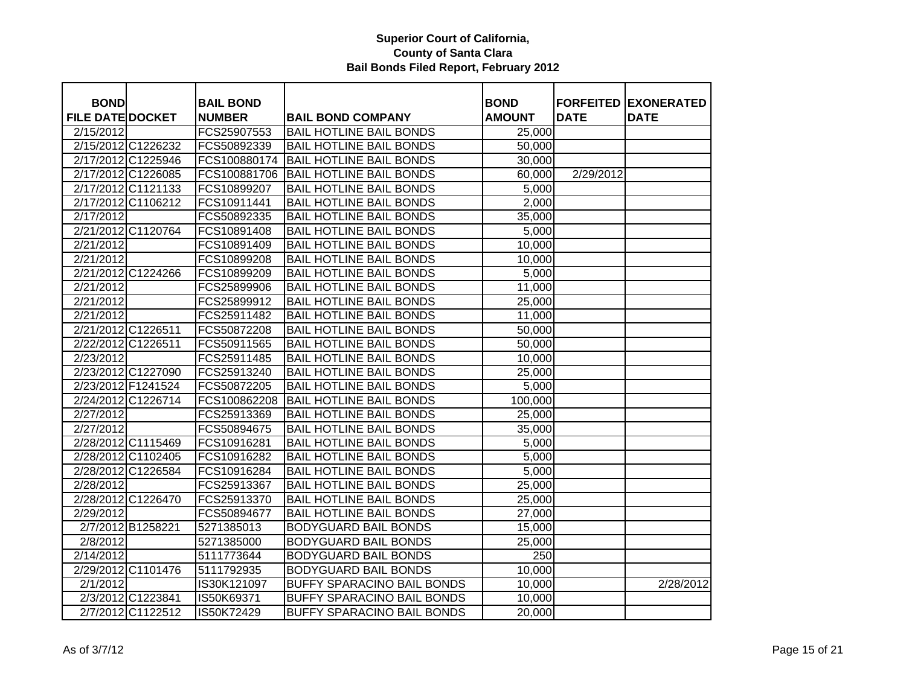|                                        |                    |                                   |                                   |                              | <b>FORFEITED</b> |                                  |
|----------------------------------------|--------------------|-----------------------------------|-----------------------------------|------------------------------|------------------|----------------------------------|
| <b>BOND</b><br><b>FILE DATE DOCKET</b> |                    | <b>BAIL BOND</b><br><b>NUMBER</b> | <b>BAIL BOND COMPANY</b>          | <b>BOND</b><br><b>AMOUNT</b> | <b>DATE</b>      | <b>EXONERATED</b><br><b>DATE</b> |
| 2/15/2012                              |                    | FCS25907553                       | <b>BAIL HOTLINE BAIL BONDS</b>    | 25,000                       |                  |                                  |
|                                        | 2/15/2012 C1226232 | FCS50892339                       | <b>BAIL HOTLINE BAIL BONDS</b>    |                              |                  |                                  |
| 2/17/2012 C1225946                     |                    | FCS100880174                      | <b>BAIL HOTLINE BAIL BONDS</b>    | 50,000<br>30,000             |                  |                                  |
| 2/17/2012 C1226085                     |                    | FCS100881706                      | <b>BAIL HOTLINE BAIL BONDS</b>    |                              | 2/29/2012        |                                  |
|                                        |                    |                                   |                                   | 60,000                       |                  |                                  |
|                                        | 2/17/2012 C1121133 | FCS10899207                       | <b>BAIL HOTLINE BAIL BONDS</b>    | 5,000                        |                  |                                  |
| 2/17/2012 C1106212                     |                    | FCS10911441                       | <b>BAIL HOTLINE BAIL BONDS</b>    | 2,000                        |                  |                                  |
| 2/17/2012                              |                    | FCS50892335                       | <b>BAIL HOTLINE BAIL BONDS</b>    | 35,000                       |                  |                                  |
|                                        | 2/21/2012 C1120764 | FCS10891408                       | <b>BAIL HOTLINE BAIL BONDS</b>    | 5,000                        |                  |                                  |
| 2/21/2012                              |                    | FCS10891409                       | <b>BAIL HOTLINE BAIL BONDS</b>    | 10,000                       |                  |                                  |
| 2/21/2012                              |                    | FCS10899208                       | <b>BAIL HOTLINE BAIL BONDS</b>    | 10,000                       |                  |                                  |
|                                        | 2/21/2012 C1224266 | FCS10899209                       | <b>BAIL HOTLINE BAIL BONDS</b>    | 5,000                        |                  |                                  |
| 2/21/2012                              |                    | FCS25899906                       | <b>BAIL HOTLINE BAIL BONDS</b>    | 11,000                       |                  |                                  |
| 2/21/2012                              |                    | FCS25899912                       | <b>BAIL HOTLINE BAIL BONDS</b>    | 25,000                       |                  |                                  |
| 2/21/2012                              |                    | FCS25911482                       | <b>BAIL HOTLINE BAIL BONDS</b>    | 11,000                       |                  |                                  |
| 2/21/2012 C1226511                     |                    | FCS50872208                       | <b>BAIL HOTLINE BAIL BONDS</b>    | 50,000                       |                  |                                  |
| 2/22/2012 C1226511                     |                    | FCS50911565                       | <b>BAIL HOTLINE BAIL BONDS</b>    | 50,000                       |                  |                                  |
| 2/23/2012                              |                    | FCS25911485                       | <b>BAIL HOTLINE BAIL BONDS</b>    | 10,000                       |                  |                                  |
|                                        | 2/23/2012 C1227090 | FCS25913240                       | <b>BAIL HOTLINE BAIL BONDS</b>    | 25,000                       |                  |                                  |
| 2/23/2012 F1241524                     |                    | FCS50872205                       | <b>BAIL HOTLINE BAIL BONDS</b>    | 5,000                        |                  |                                  |
|                                        | 2/24/2012 C1226714 | FCS100862208                      | <b>BAIL HOTLINE BAIL BONDS</b>    | 100,000                      |                  |                                  |
| 2/27/2012                              |                    | FCS25913369                       | <b>BAIL HOTLINE BAIL BONDS</b>    | 25,000                       |                  |                                  |
| 2/27/2012                              |                    | FCS50894675                       | <b>BAIL HOTLINE BAIL BONDS</b>    | 35,000                       |                  |                                  |
| 2/28/2012 C1115469                     |                    | FCS10916281                       | <b>BAIL HOTLINE BAIL BONDS</b>    | 5,000                        |                  |                                  |
|                                        | 2/28/2012 C1102405 | FCS10916282                       | <b>BAIL HOTLINE BAIL BONDS</b>    | 5,000                        |                  |                                  |
|                                        | 2/28/2012 C1226584 | FCS10916284                       | <b>BAIL HOTLINE BAIL BONDS</b>    | 5,000                        |                  |                                  |
| 2/28/2012                              |                    | FCS25913367                       | <b>BAIL HOTLINE BAIL BONDS</b>    | 25,000                       |                  |                                  |
| 2/28/2012 C1226470                     |                    | FCS25913370                       | <b>BAIL HOTLINE BAIL BONDS</b>    | 25,000                       |                  |                                  |
| 2/29/2012                              |                    | FCS50894677                       | <b>BAIL HOTLINE BAIL BONDS</b>    | 27,000                       |                  |                                  |
|                                        | 2/7/2012 B1258221  | 5271385013                        | <b>BODYGUARD BAIL BONDS</b>       | 15,000                       |                  |                                  |
| 2/8/2012                               |                    | 5271385000                        | <b>BODYGUARD BAIL BONDS</b>       | 25,000                       |                  |                                  |
| 2/14/2012                              |                    | 5111773644                        | <b>BODYGUARD BAIL BONDS</b>       | 250                          |                  |                                  |
|                                        | 2/29/2012 C1101476 | 5111792935                        | <b>BODYGUARD BAIL BONDS</b>       | 10,000                       |                  |                                  |
| 2/1/2012                               |                    | IS30K121097                       | BUFFY SPARACINO BAIL BONDS        | 10,000                       |                  | 2/28/2012                        |
|                                        | 2/3/2012 C1223841  | IS50K69371                        | <b>BUFFY SPARACINO BAIL BONDS</b> | 10,000                       |                  |                                  |
|                                        | 2/7/2012 C1122512  | IS50K72429                        | BUFFY SPARACINO BAIL BONDS        | 20,000                       |                  |                                  |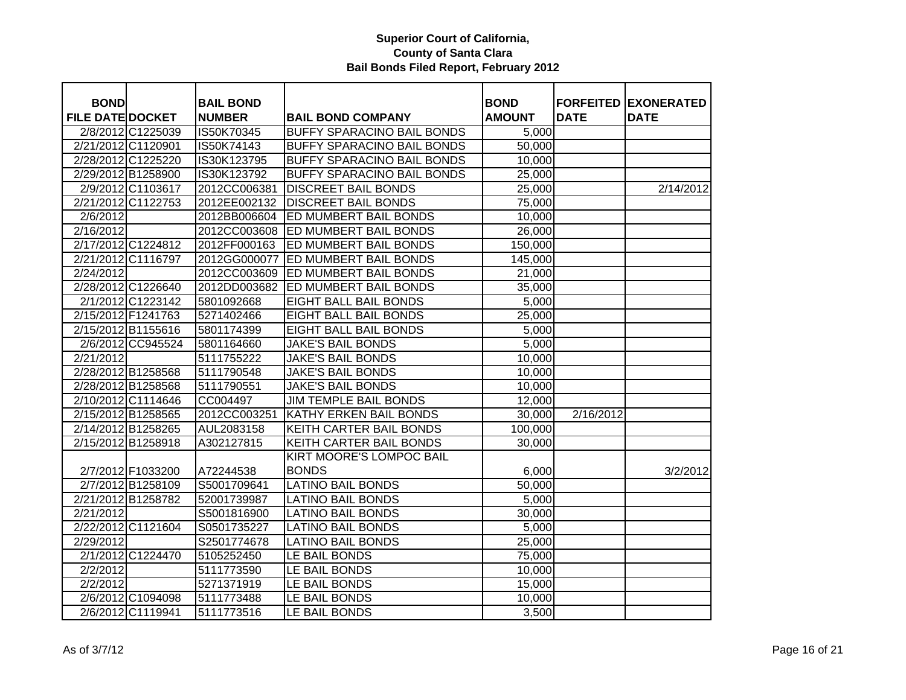| <b>BOND</b>             |                    | <b>BAIL BOND</b>            |                                                               | <b>BOND</b>         |             | <b>FORFEITED EXONERATED</b> |
|-------------------------|--------------------|-----------------------------|---------------------------------------------------------------|---------------------|-------------|-----------------------------|
| <b>FILE DATE DOCKET</b> | 2/8/2012 C1225039  | <b>NUMBER</b><br>IS50K70345 | <b>BAIL BOND COMPANY</b><br><b>BUFFY SPARACINO BAIL BONDS</b> | <b>AMOUNT</b>       | <b>DATE</b> | <b>DATE</b>                 |
|                         |                    |                             |                                                               | 5,000               |             |                             |
| 2/21/2012 C1120901      |                    | IS50K74143                  | <b>BUFFY SPARACINO BAIL BONDS</b>                             | 50,000              |             |                             |
|                         | 2/28/2012 C1225220 | IS30K123795                 | <b>BUFFY SPARACINO BAIL BONDS</b>                             | 10,000              |             |                             |
| 2/29/2012 B1258900      |                    | IS30K123792                 | <b>BUFFY SPARACINO BAIL BONDS</b>                             | 25,000              |             |                             |
|                         | 2/9/2012 C1103617  | 2012CC006381                | <b>DISCREET BAIL BONDS</b>                                    | 25,000              |             | 2/14/2012                   |
|                         | 2/21/2012 C1122753 | 2012EE002132                | <b>DISCREET BAIL BONDS</b>                                    | 75,000              |             |                             |
| 2/6/2012                |                    | 2012BB006604                | <b>ED MUMBERT BAIL BONDS</b>                                  | 10,000              |             |                             |
| 2/16/2012               |                    | 2012CC003608                | <b>ED MUMBERT BAIL BONDS</b>                                  | 26,000              |             |                             |
|                         | 2/17/2012 C1224812 | 2012FF000163                | <b>ED MUMBERT BAIL BONDS</b>                                  | 150,000             |             |                             |
|                         | 2/21/2012 C1116797 | 2012GG000077                | <b>ED MUMBERT BAIL BONDS</b>                                  | 145,000             |             |                             |
| 2/24/2012               |                    |                             | 2012CC003609 ED MUMBERT BAIL BONDS                            | 21,000              |             |                             |
|                         | 2/28/2012 C1226640 | 2012DD003682                | <b>ED MUMBERT BAIL BONDS</b>                                  | 35,000              |             |                             |
|                         | 2/1/2012 C1223142  | 5801092668                  | <b>EIGHT BALL BAIL BONDS</b>                                  | 5,000               |             |                             |
| 2/15/2012 F1241763      |                    | 5271402466                  | <b>EIGHT BALL BAIL BONDS</b>                                  | 25,000              |             |                             |
| 2/15/2012 B1155616      |                    | 5801174399                  | <b>EIGHT BALL BAIL BONDS</b>                                  | 5,000               |             |                             |
|                         | 2/6/2012 CC945524  | 5801164660                  | <b>JAKE'S BAIL BONDS</b>                                      | 5,000               |             |                             |
| 2/21/2012               |                    | 5111755222                  | <b>JAKE'S BAIL BONDS</b>                                      | 10,000              |             |                             |
| 2/28/2012 B1258568      |                    | 5111790548                  | <b>JAKE'S BAIL BONDS</b>                                      | 10,000              |             |                             |
| 2/28/2012 B1258568      |                    | 5111790551                  | <b>JAKE'S BAIL BONDS</b>                                      | 10,000              |             |                             |
|                         | 2/10/2012 C1114646 | CC004497                    | <b>JIM TEMPLE BAIL BONDS</b>                                  | 12,000              |             |                             |
| 2/15/2012 B1258565      |                    | 2012CC003251                | KATHY ERKEN BAIL BONDS                                        | 30,000              | 2/16/2012   |                             |
| 2/14/2012 B1258265      |                    | AUL2083158                  | KEITH CARTER BAIL BONDS                                       | 100,000             |             |                             |
|                         | 2/15/2012 B1258918 | A302127815                  | KEITH CARTER BAIL BONDS                                       | 30,000              |             |                             |
|                         |                    |                             | <b>KIRT MOORE'S LOMPOC BAIL</b>                               |                     |             |                             |
|                         | 2/7/2012 F1033200  | A72244538                   | <b>BONDS</b>                                                  | 6,000               |             | 3/2/2012                    |
|                         | 2/7/2012 B1258109  | S5001709641                 | <b>LATINO BAIL BONDS</b>                                      | $\overline{50,000}$ |             |                             |
| 2/21/2012 B1258782      |                    | 52001739987                 | <b>LATINO BAIL BONDS</b>                                      | 5,000               |             |                             |
| 2/21/2012               |                    | S5001816900                 | <b>LATINO BAIL BONDS</b>                                      | 30,000              |             |                             |
|                         | 2/22/2012 C1121604 | S0501735227                 | <b>LATINO BAIL BONDS</b>                                      | 5,000               |             |                             |
| 2/29/2012               |                    | S2501774678                 | <b>LATINO BAIL BONDS</b>                                      | 25,000              |             |                             |
|                         | 2/1/2012 C1224470  | 5105252450                  | LE BAIL BONDS                                                 | 75,000              |             |                             |
| 2/2/2012                |                    | 5111773590                  | LE BAIL BONDS                                                 | 10,000              |             |                             |
| 2/2/2012                |                    | 5271371919                  | LE BAIL BONDS                                                 | 15,000              |             |                             |
|                         | 2/6/2012 C1094098  | 5111773488                  | LE BAIL BONDS                                                 | 10,000              |             |                             |
|                         | 2/6/2012 C1119941  | 5111773516                  | LE BAIL BONDS                                                 | 3,500               |             |                             |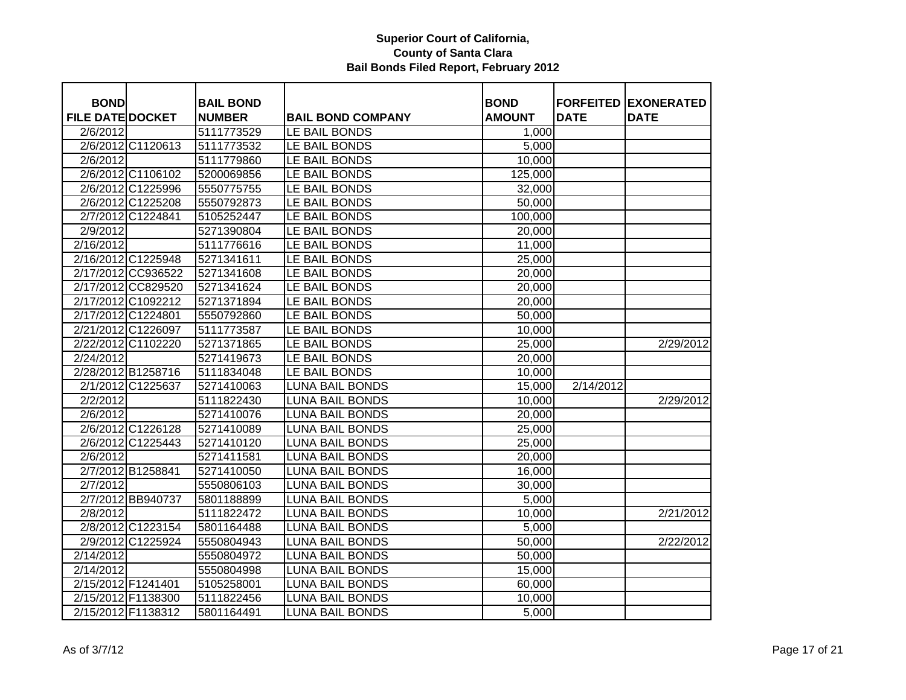| <b>BOND</b>             |                    | <b>BAIL BOND</b> |                          | <b>BOND</b>   |             | <b>FORFEITED EXONERATED</b> |
|-------------------------|--------------------|------------------|--------------------------|---------------|-------------|-----------------------------|
| <b>FILE DATE DOCKET</b> |                    | <b>NUMBER</b>    | <b>BAIL BOND COMPANY</b> | <b>AMOUNT</b> | <b>DATE</b> | <b>DATE</b>                 |
| 2/6/2012                |                    | 5111773529       | LE BAIL BONDS            | 1,000         |             |                             |
|                         | 2/6/2012 C1120613  | 5111773532       | LE BAIL BONDS            | 5,000         |             |                             |
| 2/6/2012                |                    | 5111779860       | LE BAIL BONDS            | 10,000        |             |                             |
|                         | 2/6/2012 C1106102  | 5200069856       | LE BAIL BONDS            | 125,000       |             |                             |
|                         | 2/6/2012 C1225996  | 5550775755       | LE BAIL BONDS            | 32,000        |             |                             |
|                         | 2/6/2012 C1225208  | 5550792873       | LE BAIL BONDS            | 50,000        |             |                             |
|                         | 2/7/2012 C1224841  | 5105252447       | LE BAIL BONDS            | 100,000       |             |                             |
| 2/9/2012                |                    | 5271390804       | LE BAIL BONDS            | 20,000        |             |                             |
| 2/16/2012               |                    | 5111776616       | LE BAIL BONDS            | 11,000        |             |                             |
| 2/16/2012 C1225948      |                    | 5271341611       | LE BAIL BONDS            | 25,000        |             |                             |
|                         | 2/17/2012 CC936522 | 5271341608       | LE BAIL BONDS            | 20,000        |             |                             |
|                         | 2/17/2012 CC829520 | 5271341624       | LE BAIL BONDS            | 20,000        |             |                             |
| 2/17/2012 C1092212      |                    | 5271371894       | LE BAIL BONDS            | 20,000        |             |                             |
| 2/17/2012 C1224801      |                    | 5550792860       | LE BAIL BONDS            | 50,000        |             |                             |
| 2/21/2012 C1226097      |                    | 5111773587       | LE BAIL BONDS            | 10,000        |             |                             |
| 2/22/2012 C1102220      |                    | 5271371865       | LE BAIL BONDS            | 25,000        |             | 2/29/2012                   |
| 2/24/2012               |                    | 5271419673       | LE BAIL BONDS            | 20,000        |             |                             |
| 2/28/2012 B1258716      |                    | 5111834048       | LE BAIL BONDS            | 10,000        |             |                             |
|                         | 2/1/2012 C1225637  | 5271410063       | <b>LUNA BAIL BONDS</b>   | 15,000        | 2/14/2012   |                             |
| 2/2/2012                |                    | 5111822430       | <b>LUNA BAIL BONDS</b>   | 10,000        |             | 2/29/2012                   |
| 2/6/2012                |                    | 5271410076       | <b>LUNA BAIL BONDS</b>   | 20,000        |             |                             |
|                         | 2/6/2012 C1226128  | 5271410089       | <b>LUNA BAIL BONDS</b>   | 25,000        |             |                             |
|                         | 2/6/2012 C1225443  | 5271410120       | <b>LUNA BAIL BONDS</b>   | 25,000        |             |                             |
| 2/6/2012                |                    | 5271411581       | <b>LUNA BAIL BONDS</b>   | 20,000        |             |                             |
|                         | 2/7/2012 B1258841  | 5271410050       | <b>LUNA BAIL BONDS</b>   | 16,000        |             |                             |
| 2/7/2012                |                    | 5550806103       | <b>LUNA BAIL BONDS</b>   | 30,000        |             |                             |
|                         | 2/7/2012 BB940737  | 5801188899       | <b>LUNA BAIL BONDS</b>   | 5,000         |             |                             |
| 2/8/2012                |                    | 5111822472       | <b>LUNA BAIL BONDS</b>   | 10,000        |             | 2/21/2012                   |
|                         | 2/8/2012 C1223154  | 5801164488       | <b>LUNA BAIL BONDS</b>   | 5,000         |             |                             |
|                         | 2/9/2012 C1225924  | 5550804943       | <b>LUNA BAIL BONDS</b>   | 50,000        |             | 2/22/2012                   |
| 2/14/2012               |                    | 5550804972       | <b>LUNA BAIL BONDS</b>   | 50,000        |             |                             |
| 2/14/2012               |                    | 5550804998       | <b>LUNA BAIL BONDS</b>   | 15,000        |             |                             |
| 2/15/2012 F1241401      |                    | 5105258001       | <b>LUNA BAIL BONDS</b>   | 60,000        |             |                             |
| 2/15/2012 F1138300      |                    | 5111822456       | <b>LUNA BAIL BONDS</b>   | 10,000        |             |                             |
| 2/15/2012 F1138312      |                    | 5801164491       | <b>LUNA BAIL BONDS</b>   | 5,000         |             |                             |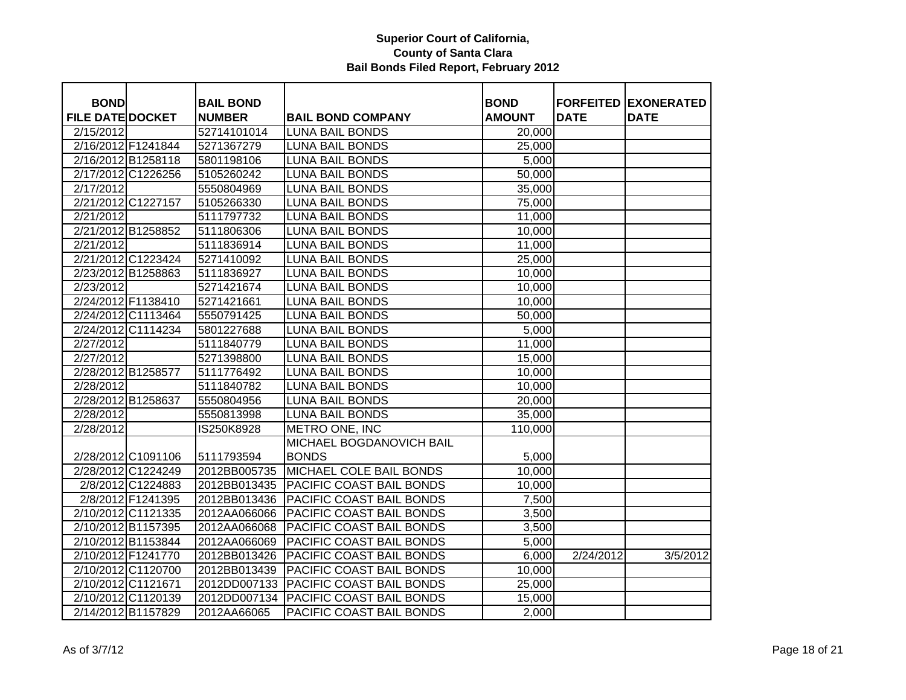| <b>BOND</b>             |                    | <b>BAIL BOND</b> |                                 | <b>BOND</b>   | <b>FORFEITED</b> | <b>EXONERATED</b> |
|-------------------------|--------------------|------------------|---------------------------------|---------------|------------------|-------------------|
| <b>FILE DATE DOCKET</b> |                    | <b>NUMBER</b>    | <b>BAIL BOND COMPANY</b>        | <b>AMOUNT</b> | <b>DATE</b>      | <b>DATE</b>       |
| 2/15/2012               |                    | 52714101014      | <b>LUNA BAIL BONDS</b>          | 20,000        |                  |                   |
|                         | 2/16/2012 F1241844 | 5271367279       | <b>LUNA BAIL BONDS</b>          | 25,000        |                  |                   |
|                         | 2/16/2012 B1258118 | 5801198106       | <b>LUNA BAIL BONDS</b>          | 5,000         |                  |                   |
|                         | 2/17/2012 C1226256 | 5105260242       | <b>LUNA BAIL BONDS</b>          | 50,000        |                  |                   |
| 2/17/2012               |                    | 5550804969       | <b>LUNA BAIL BONDS</b>          | 35,000        |                  |                   |
|                         | 2/21/2012 C1227157 | 5105266330       | <b>LUNA BAIL BONDS</b>          | 75,000        |                  |                   |
| 2/21/2012               |                    | 5111797732       | <b>LUNA BAIL BONDS</b>          | 11,000        |                  |                   |
|                         | 2/21/2012 B1258852 | 5111806306       | <b>LUNA BAIL BONDS</b>          | 10,000        |                  |                   |
| 2/21/2012               |                    | 5111836914       | <b>LUNA BAIL BONDS</b>          | 11,000        |                  |                   |
|                         | 2/21/2012 C1223424 | 5271410092       | <b>LUNA BAIL BONDS</b>          | 25,000        |                  |                   |
|                         | 2/23/2012 B1258863 | 5111836927       | <b>LUNA BAIL BONDS</b>          | 10,000        |                  |                   |
| 2/23/2012               |                    | 5271421674       | <b>LUNA BAIL BONDS</b>          | 10,000        |                  |                   |
|                         | 2/24/2012 F1138410 | 5271421661       | <b>LUNA BAIL BONDS</b>          | 10,000        |                  |                   |
|                         | 2/24/2012 C1113464 | 5550791425       | <b>LUNA BAIL BONDS</b>          | 50,000        |                  |                   |
|                         | 2/24/2012 C1114234 | 5801227688       | LUNA BAIL BONDS                 | 5,000         |                  |                   |
| 2/27/2012               |                    | 5111840779       | <b>LUNA BAIL BONDS</b>          | 11,000        |                  |                   |
| 2/27/2012               |                    | 5271398800       | <b>LUNA BAIL BONDS</b>          | 15,000        |                  |                   |
|                         | 2/28/2012 B1258577 | 5111776492       | <b>LUNA BAIL BONDS</b>          | 10,000        |                  |                   |
| 2/28/2012               |                    | 5111840782       | <b>LUNA BAIL BONDS</b>          | 10,000        |                  |                   |
|                         | 2/28/2012 B1258637 | 5550804956       | <b>LUNA BAIL BONDS</b>          | 20,000        |                  |                   |
| 2/28/2012               |                    | 5550813998       | <b>LUNA BAIL BONDS</b>          | 35,000        |                  |                   |
| 2/28/2012               |                    | IS250K8928       | METRO ONE, INC                  | 110,000       |                  |                   |
|                         |                    |                  | MICHAEL BOGDANOVICH BAIL        |               |                  |                   |
|                         | 2/28/2012 C1091106 | 5111793594       | <b>BONDS</b>                    | 5,000         |                  |                   |
|                         | 2/28/2012 C1224249 | 2012BB005735     | <b>MICHAEL COLE BAIL BONDS</b>  | 10,000        |                  |                   |
|                         | 2/8/2012 C1224883  | 2012BB013435     | PACIFIC COAST BAIL BONDS        | 10,000        |                  |                   |
|                         | 2/8/2012 F1241395  | 2012BB013436     | PACIFIC COAST BAIL BONDS        | 7,500         |                  |                   |
|                         | 2/10/2012 C1121335 | 2012AA066066     | PACIFIC COAST BAIL BONDS        | 3,500         |                  |                   |
|                         | 2/10/2012 B1157395 | 2012AA066068     | PACIFIC COAST BAIL BONDS        | 3,500         |                  |                   |
|                         | 2/10/2012 B1153844 | 2012AA066069     | PACIFIC COAST BAIL BONDS        | 5,000         |                  |                   |
|                         | 2/10/2012 F1241770 | 2012BB013426     | PACIFIC COAST BAIL BONDS        | 6,000         | 2/24/2012        | 3/5/2012          |
|                         | 2/10/2012 C1120700 | 2012BB013439     | PACIFIC COAST BAIL BONDS        | 10,000        |                  |                   |
|                         | 2/10/2012 C1121671 | 2012DD007133     | <b>PACIFIC COAST BAIL BONDS</b> | 25,000        |                  |                   |
|                         | 2/10/2012 C1120139 | 2012DD007134     | <b>PACIFIC COAST BAIL BONDS</b> | 15,000        |                  |                   |
|                         | 2/14/2012 B1157829 | 2012AA66065      | PACIFIC COAST BAIL BONDS        | 2,000         |                  |                   |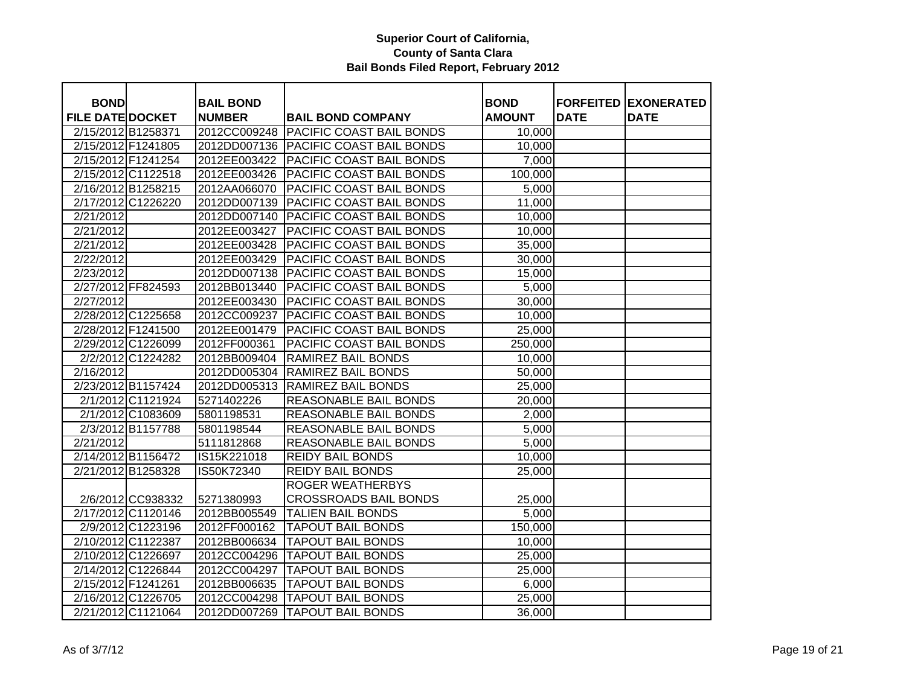| <b>BOND</b>                                   |                    | <b>BAIL BOND</b><br><b>NUMBER</b> | <b>BAIL BOND COMPANY</b>              | <b>BOND</b>        | <b>DATE</b> | <b>FORFEITED EXONERATED</b><br><b>DATE</b> |
|-----------------------------------------------|--------------------|-----------------------------------|---------------------------------------|--------------------|-------------|--------------------------------------------|
| <b>FILE DATE DOCKET</b><br>2/15/2012 B1258371 |                    | 2012CC009248                      | <b>PACIFIC COAST BAIL BONDS</b>       | <b>AMOUNT</b>      |             |                                            |
|                                               |                    |                                   |                                       | 10,000             |             |                                            |
| 2/15/2012 F1241805                            |                    |                                   | 2012DD007136 PACIFIC COAST BAIL BONDS | 10,000             |             |                                            |
| 2/15/2012 F1241254                            |                    | 2012EE003422                      | PACIFIC COAST BAIL BONDS              | 7,000              |             |                                            |
| 2/15/2012 C1122518                            |                    | 2012EE003426                      | PACIFIC COAST BAIL BONDS              | 100,000            |             |                                            |
| 2/16/2012 B1258215                            |                    | 2012AA066070                      | PACIFIC COAST BAIL BONDS              | 5,000              |             |                                            |
|                                               | 2/17/2012 C1226220 | 2012DD007139                      | <b>PACIFIC COAST BAIL BONDS</b>       | 11,000             |             |                                            |
| 2/21/2012                                     |                    | 2012DD007140                      | <b>PACIFIC COAST BAIL BONDS</b>       | 10,000             |             |                                            |
| 2/21/2012                                     |                    | 2012EE003427                      | PACIFIC COAST BAIL BONDS              | 10,000             |             |                                            |
| 2/21/2012                                     |                    | 2012EE003428                      | PACIFIC COAST BAIL BONDS              | 35,000             |             |                                            |
| 2/22/2012                                     |                    | 2012EE003429                      | PACIFIC COAST BAIL BONDS              | 30,000             |             |                                            |
| 2/23/2012                                     |                    | 2012DD007138                      | <b>PACIFIC COAST BAIL BONDS</b>       | 15,000             |             |                                            |
|                                               | 2/27/2012 FF824593 | 2012BB013440                      | PACIFIC COAST BAIL BONDS              | 5,000              |             |                                            |
| 2/27/2012                                     |                    | 2012EE003430                      | PACIFIC COAST BAIL BONDS              | 30,000             |             |                                            |
| 2/28/2012 C1225658                            |                    | 2012CC009237                      | PACIFIC COAST BAIL BONDS              | 10,000             |             |                                            |
| 2/28/2012 F1241500                            |                    | 2012EE001479                      | PACIFIC COAST BAIL BONDS              | 25,000             |             |                                            |
|                                               | 2/29/2012 C1226099 | 2012FF000361                      | PACIFIC COAST BAIL BONDS              | 250,000            |             |                                            |
|                                               | 2/2/2012 C1224282  | 2012BB009404                      | RAMIREZ BAIL BONDS                    | 10,000             |             |                                            |
| 2/16/2012                                     |                    | 2012DD005304                      | RAMIREZ BAIL BONDS                    | 50,000             |             |                                            |
| 2/23/2012 B1157424                            |                    | 2012DD005313                      | RAMIREZ BAIL BONDS                    | 25,000             |             |                                            |
|                                               | 2/1/2012 C1121924  | 5271402226                        | REASONABLE BAIL BONDS                 | 20,000             |             |                                            |
|                                               | 2/1/2012 C1083609  | 5801198531                        | REASONABLE BAIL BONDS                 | 2,000              |             |                                            |
|                                               | 2/3/2012 B1157788  | 5801198544                        | REASONABLE BAIL BONDS                 | 5,000              |             |                                            |
| 2/21/2012                                     |                    | 5111812868                        | REASONABLE BAIL BONDS                 | 5,000              |             |                                            |
| 2/14/2012 B1156472                            |                    | IS15K221018                       | <b>REIDY BAIL BONDS</b>               | 10,000             |             |                                            |
|                                               | 2/21/2012 B1258328 | IS50K72340                        | <b>REIDY BAIL BONDS</b>               | 25,000             |             |                                            |
|                                               |                    |                                   | <b>ROGER WEATHERBYS</b>               |                    |             |                                            |
|                                               | 2/6/2012 CC938332  | 5271380993                        | <b>CROSSROADS BAIL BONDS</b>          | 25,000             |             |                                            |
| 2/17/2012 C1120146                            |                    | 2012BB005549                      | <b>TALIEN BAIL BONDS</b>              | $\overline{5,000}$ |             |                                            |
|                                               | 2/9/2012 C1223196  | 2012FF000162                      | <b>TAPOUT BAIL BONDS</b>              | 150,000            |             |                                            |
| 2/10/2012 C1122387                            |                    | 2012BB006634                      | <b>TAPOUT BAIL BONDS</b>              | 10,000             |             |                                            |
| 2/10/2012 C1226697                            |                    | 2012CC004296                      | <b>TAPOUT BAIL BONDS</b>              | 25,000             |             |                                            |
|                                               | 2/14/2012 C1226844 | 2012CC004297                      | <b>TAPOUT BAIL BONDS</b>              | 25,000             |             |                                            |
| 2/15/2012 F1241261                            |                    | 2012BB006635                      | <b>TAPOUT BAIL BONDS</b>              | 6,000              |             |                                            |
| 2/16/2012 C1226705                            |                    | 2012CC004298                      | <b>TAPOUT BAIL BONDS</b>              | 25,000             |             |                                            |
|                                               | 2/21/2012 C1121064 |                                   | 2012DD007269   TAPOUT BAIL BONDS      | 36,000             |             |                                            |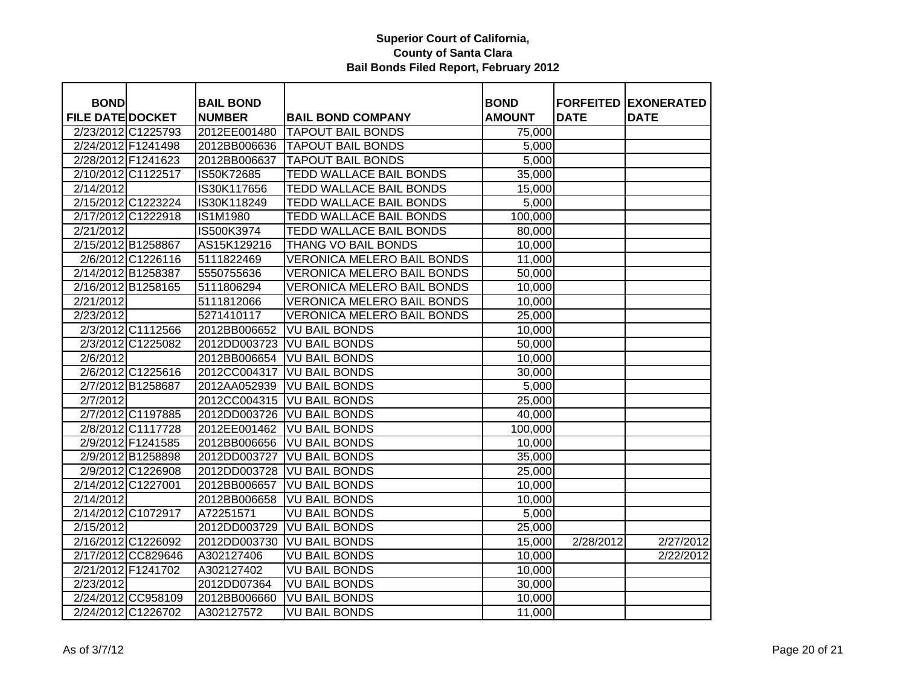| <b>BOND</b>             |                    |                                   |                                                      |                              |             | <b>FORFEITED EXONERATED</b> |
|-------------------------|--------------------|-----------------------------------|------------------------------------------------------|------------------------------|-------------|-----------------------------|
| <b>FILE DATE DOCKET</b> |                    | <b>BAIL BOND</b><br><b>NUMBER</b> |                                                      | <b>BOND</b><br><b>AMOUNT</b> | <b>DATE</b> | <b>DATE</b>                 |
| 2/23/2012 C1225793      |                    | 2012EE001480                      | <b>BAIL BOND COMPANY</b><br><b>TAPOUT BAIL BONDS</b> | 75,000                       |             |                             |
| 2/24/2012 F1241498      |                    |                                   | <b>TAPOUT BAIL BONDS</b>                             |                              |             |                             |
| 2/28/2012 F1241623      |                    | 2012BB006636<br>2012BB006637      | <b>TAPOUT BAIL BONDS</b>                             | 5,000                        |             |                             |
|                         |                    |                                   |                                                      | 5,000                        |             |                             |
| 2/10/2012 C1122517      |                    | IS50K72685                        | <b>TEDD WALLACE BAIL BONDS</b>                       | 35,000                       |             |                             |
| 2/14/2012               |                    | IS30K117656                       | <b>TEDD WALLACE BAIL BONDS</b>                       | 15,000                       |             |                             |
| 2/15/2012 C1223224      |                    | IS30K118249                       | TEDD WALLACE BAIL BONDS                              | 5,000                        |             |                             |
| 2/17/2012 C1222918      |                    | IS1M1980                          | TEDD WALLACE BAIL BONDS                              | 100,000                      |             |                             |
| 2/21/2012               |                    | IS500K3974                        | TEDD WALLACE BAIL BONDS                              | 80,000                       |             |                             |
| 2/15/2012 B1258867      |                    | AS15K129216                       | THANG VO BAIL BONDS                                  | 10,000                       |             |                             |
|                         | 2/6/2012 C1226116  | 5111822469                        | <b>VERONICA MELERO BAIL BONDS</b>                    | 11,000                       |             |                             |
| 2/14/2012 B1258387      |                    | 5550755636                        | <b>VERONICA MELERO BAIL BONDS</b>                    | 50,000                       |             |                             |
| 2/16/2012 B1258165      |                    | 5111806294                        | <b>VERONICA MELERO BAIL BONDS</b>                    | 10,000                       |             |                             |
| 2/21/2012               |                    | 5111812066                        | <b>VERONICA MELERO BAIL BONDS</b>                    | 10,000                       |             |                             |
| 2/23/2012               |                    | 5271410117                        | <b>VERONICA MELERO BAIL BONDS</b>                    | 25,000                       |             |                             |
|                         | 2/3/2012 C1112566  | 2012BB006652                      | <b>VU BAIL BONDS</b>                                 | 10,000                       |             |                             |
|                         | 2/3/2012 C1225082  | 2012DD003723                      | <b>VU BAIL BONDS</b>                                 | 50,000                       |             |                             |
| 2/6/2012                |                    | 2012BB006654                      | <b>VU BAIL BONDS</b>                                 | 10,000                       |             |                             |
|                         | 2/6/2012 C1225616  | 2012CC004317                      | <b>VU BAIL BONDS</b>                                 | 30,000                       |             |                             |
|                         | 2/7/2012 B1258687  | 2012AA052939                      | <b>VU BAIL BONDS</b>                                 | 5,000                        |             |                             |
| 2/7/2012                |                    | 2012CC004315                      | <b>VU BAIL BONDS</b>                                 | 25,000                       |             |                             |
|                         | 2/7/2012 C1197885  | 2012DD003726                      | <b>VU BAIL BONDS</b>                                 | 40,000                       |             |                             |
|                         | 2/8/2012 C1117728  | 2012EE001462                      | <b>VU BAIL BONDS</b>                                 | 100,000                      |             |                             |
|                         | 2/9/2012 F1241585  | 2012BB006656                      | <b>VU BAIL BONDS</b>                                 | 10,000                       |             |                             |
|                         | 2/9/2012 B1258898  | 2012DD003727                      | <b>VU BAIL BONDS</b>                                 | 35,000                       |             |                             |
|                         | 2/9/2012 C1226908  | 2012DD003728                      | <b>VU BAIL BONDS</b>                                 | 25,000                       |             |                             |
| 2/14/2012 C1227001      |                    | 2012BB006657                      | <b>VU BAIL BONDS</b>                                 | 10,000                       |             |                             |
| 2/14/2012               |                    | 2012BB006658                      | <b>VU BAIL BONDS</b>                                 | 10,000                       |             |                             |
| 2/14/2012 C1072917      |                    | A72251571                         | <b>VU BAIL BONDS</b>                                 | 5,000                        |             |                             |
| 2/15/2012               |                    | 2012DD003729                      | <b>VU BAIL BONDS</b>                                 | 25,000                       |             |                             |
| 2/16/2012 C1226092      |                    | 2012DD003730                      | <b>VU BAIL BONDS</b>                                 | 15,000                       | 2/28/2012   | 2/27/2012                   |
|                         | 2/17/2012 CC829646 | A302127406                        | <b>VU BAIL BONDS</b>                                 | 10,000                       |             | 2/22/2012                   |
| 2/21/2012 F1241702      |                    | A302127402                        | <b>VU BAIL BONDS</b>                                 | 10,000                       |             |                             |
| 2/23/2012               |                    | 2012DD07364                       | <b>VU BAIL BONDS</b>                                 | 30,000                       |             |                             |
|                         | 2/24/2012 CC958109 | 2012BB006660                      | <b>VU BAIL BONDS</b>                                 | 10,000                       |             |                             |
| 2/24/2012 C1226702      |                    | A302127572                        | <b>VU BAIL BONDS</b>                                 | 11,000                       |             |                             |